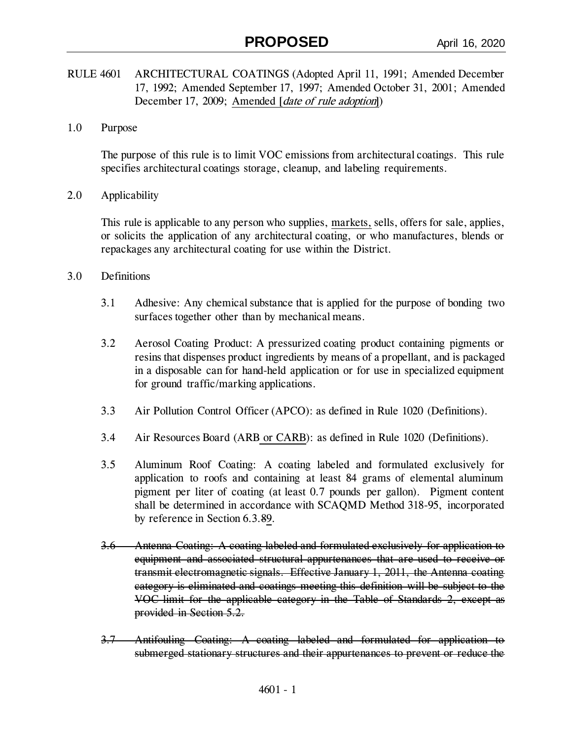- RULE 4601 ARCHITECTURAL COATINGS (Adopted April 11, 1991; Amended December 17, 1992; Amended September 17, 1997; Amended October 31, 2001; Amended December 17, 2009; Amended [*date of rule adoption*])
- 1.0 Purpose

The purpose of this rule is to limit VOC emissions from architectural coatings. This rule specifies architectural coatings storage, cleanup, and labeling requirements.

2.0 Applicability

This rule is applicable to any person who supplies, markets, sells, offers for sale, applies, or solicits the application of any architectural coating, or who manufactures, blends or repackages any architectural coating for use within the District.

- 3.0 Definitions
	- 3.1 Adhesive: Any chemical substance that is applied for the purpose of bonding two surfaces together other than by mechanical means.
	- 3.2 Aerosol Coating Product: A pressurized coating product containing pigments or resins that dispenses product ingredients by means of a propellant, and is packaged in a disposable can for hand-held application or for use in specialized equipment for ground traffic/marking applications.
	- 3.3 Air Pollution Control Officer (APCO): as defined in Rule 1020 (Definitions).
	- 3.4 Air Resources Board (ARB or CARB): as defined in Rule 1020 (Definitions).
	- 3.5 Aluminum Roof Coating: A coating labeled and formulated exclusively for application to roofs and containing at least 84 grams of elemental aluminum pigment per liter of coating (at least 0.7 pounds per gallon). Pigment content shall be determined in accordance with SCAQMD Method 318-95, incorporated by reference in Section 6.3.89.
	- 3.6 Antenna Coating: A coating labeled and formulated exclusively for application to equipment and associated structural appurtenances that are used to receive or transmit electromagnetic signals. Effective January 1, 2011, the Antenna coating category is eliminated and coatings meeting this definition will be subject to the VOC limit for the applicable category in the Table of Standards 2, except as provided in Section 5.2.
	- 3.7 Antifouling Coating: A coating labeled and formulated for application to submerged stationary structures and their appurtenances to prevent or reduce the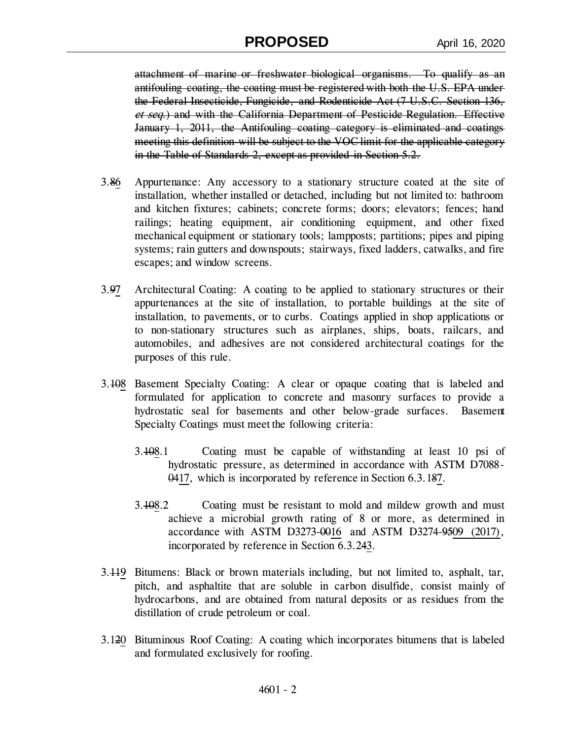attachment of marine or freshwater biological organisms. To qualify as an antifouling coating, the coating must be registered with both the U.S. EPA under the Federal Insecticide, Fungicide, and Rodenticide Act (7 U.S.C. Section 136, et seq.) and with the California Department of Pesticide Regulation. Effective January 1, 2011, the Antifouling coating category is eliminated and coatings meeting this definition will be subject to the VOC limit for the applicable category in the Table of Standards 2, except as provided in Section 5.2.

- 3.86 Appurtenance: Any accessory to a stationary structure coated at the site of installation, whether installed or detached, including but not limited to: bathroom and kitchen fixtures; cabinets; concrete forms; doors; elevators; fences; hand railings; heating equipment, air conditioning equipment, and other fixed mechanical equipment or stationary tools; lampposts; partitions; pipes and piping systems; rain gutters and downspouts; stairways, fixed ladders, catwalks, and fire escapes; and window screens.
- 3.97 Architectural Coating: A coating to be applied to stationary structures or their appurtenances at the site of installation, to portable buildings at the site of installation, to pavements, or to curbs. Coatings applied in shop applications or to non-stationary structures such as airplanes, ships, boats, railcars, and automobiles, and adhesives are not considered architectural coatings for the purposes of this rule.
- 3.108 Basement Specialty Coating: A clear or opaque coating that is labeled and formulated for application to concrete and masonry surfaces to provide a hydrostatic seal for basements and other below-grade surfaces. Basement Specialty Coatings must meet the following criteria:
	- 3.108.1 Coating must be capable of withstanding at least 10 psi of hydrostatic pressure, as determined in accordance with ASTM D7088- 0417, which is incorporated by reference in Section 6.3.187.
	- 3.108.2 Coating must be resistant to mold and mildew growth and must achieve a microbial growth rating of 8 or more, as determined in accordance with ASTM D3273-0016 and ASTM D3274-9509 (2017), incorporated by reference in Section 6.3.243.
- 3.119 Bitumens: Black or brown materials including, but not limited to, asphalt, tar, pitch, and asphaltite that are soluble in carbon disulfide, consist mainly of hydrocarbons, and are obtained from natural deposits or as residues from the distillation of crude petroleum or coal.
- 3.120 Bituminous Roof Coating: A coating which incorporates bitumens that is labeled and formulated exclusively for roofing.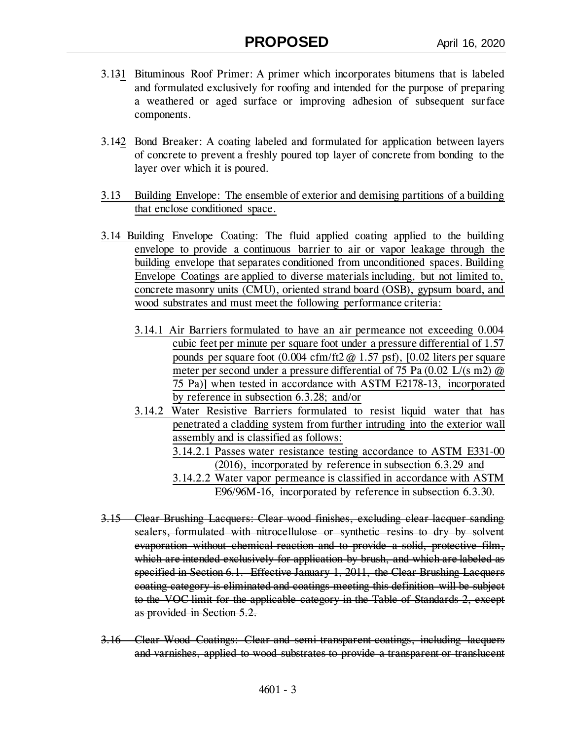- 3.131 Bituminous Roof Primer: A primer which incorporates bitumens that is labeled and formulated exclusively for roofing and intended for the purpose of preparing a weathered or aged surface or improving adhesion of subsequent surface components.
- 3.142 Bond Breaker: A coating labeled and formulated for application between layers of concrete to prevent a freshly poured top layer of concrete from bonding to the layer over which it is poured.
- 3.13 Building Envelope: The ensemble of exterior and demising partitions of a building that enclose conditioned space.
- 3.14 Building Envelope Coating: The fluid applied coating applied to the building envelope to provide a continuous barrier to air or vapor leakage through the building envelope that separates conditioned from unconditioned spaces. Building Envelope Coatings are applied to diverse materials including, but not limited to, concrete masonry units (CMU), oriented strand board (OSB), gypsum board, and wood substrates and must meet the following performance criteria:
	- 3.14.1 Air Barriers formulated to have an air permeance not exceeding 0.004 cubic feet per minute per square foot under a pressure differential of 1.57 pounds per square foot (0.004 cfm/ft2 @ 1.57 psf), [0.02 liters per square meter per second under a pressure differential of 75 Pa (0.02 L/(s m2) @ 75 Pa)] when tested in accordance with ASTM E2178-13, incorporated by reference in subsection 6.3.28; and/or
	- 3.14.2 Water Resistive Barriers formulated to resist liquid water that has penetrated a cladding system from further intruding into the exterior wall assembly and is classified as follows: 3.14.2.1 Passes water resistance testing accordance to ASTM E331-00 (2016), incorporated by reference in subsection 6.3.29 and
		- 3.14.2.2 Water vapor permeance is classified in accordance with ASTM E96/96M-16, incorporated by reference in subsection 6.3.30.
- 3.15 Clear Brushing Lacquers: Clear wood finishes, excluding clear lacquer sanding sealers, formulated with nitrocellulose or synthetic resins to dry by solvent evaporation without chemical reaction and to provide a solid, protective film, which are intended exclusively for application by brush, and which are labeled as specified in Section 6.1. Effective January 1, 2011, the Clear Brushing Lacquers coating category is eliminated and coatings meeting this definition will be subject to the VOC limit for the applicable category in the Table of Standards 2, except as provided in Section 5.2.
- 3.16 Clear Wood Coatings: Clear and semi-transparent coatings, including lacquers and varnishes, applied to wood substrates to provide a transparent or translucent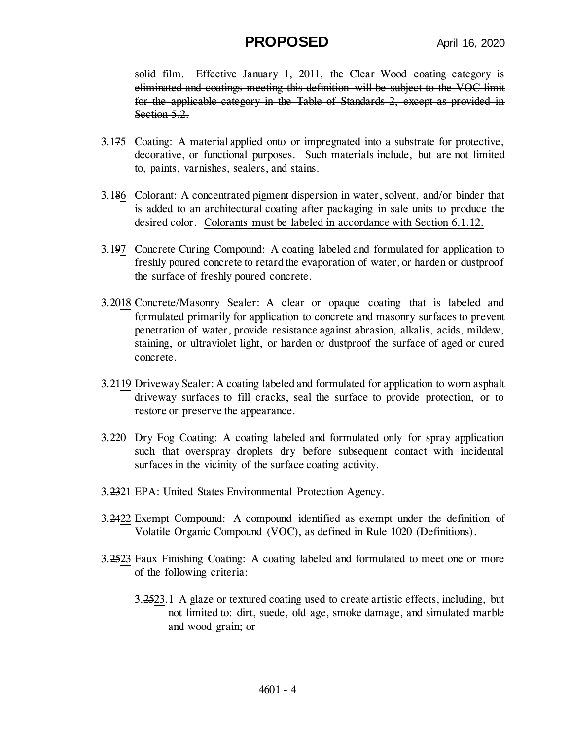solid film. Effective January 1, 2011, the Clear Wood coating category is eliminated and coatings meeting this definition will be subject to the VOC limit for the applicable category in the Table of Standards 2, except as provided in Section 5.2.

- 3.175 Coating: A material applied onto or impregnated into a substrate for protective, decorative, or functional purposes. Such materials include, but are not limited to, paints, varnishes, sealers, and stains.
- 3.186 Colorant: A concentrated pigment dispersion in water, solvent, and/or binder that is added to an architectural coating after packaging in sale units to produce the desired color. Colorants must be labeled in accordance with Section 6.1.12.
- 3.197 Concrete Curing Compound: A coating labeled and formulated for application to freshly poured concrete to retard the evaporation of water, or harden or dustproof the surface of freshly poured concrete.
- 3.2018 Concrete/Masonry Sealer: A clear or opaque coating that is labeled and formulated primarily for application to concrete and masonry surfaces to prevent penetration of water, provide resistance against abrasion, alkalis, acids, mildew, staining, or ultraviolet light, or harden or dustproof the surface of aged or cured concrete.
- 3.2119 Driveway Sealer: A coating labeled and formulated for application to worn asphalt driveway surfaces to fill cracks, seal the surface to provide protection, or to restore or preserve the appearance.
- 3.220 Dry Fog Coating: A coating labeled and formulated only for spray application such that overspray droplets dry before subsequent contact with incidental surfaces in the vicinity of the surface coating activity.
- 3.2321 EPA: United States Environmental Protection Agency.
- 3.2422 Exempt Compound: A compound identified as exempt under the definition of Volatile Organic Compound (VOC), as defined in Rule 1020 (Definitions).
- 3.2523 Faux Finishing Coating: A coating labeled and formulated to meet one or more of the following criteria:
	- 3.2523.1 A glaze or textured coating used to create artistic effects, including, but not limited to: dirt, suede, old age, smoke damage, and simulated marble and wood grain; or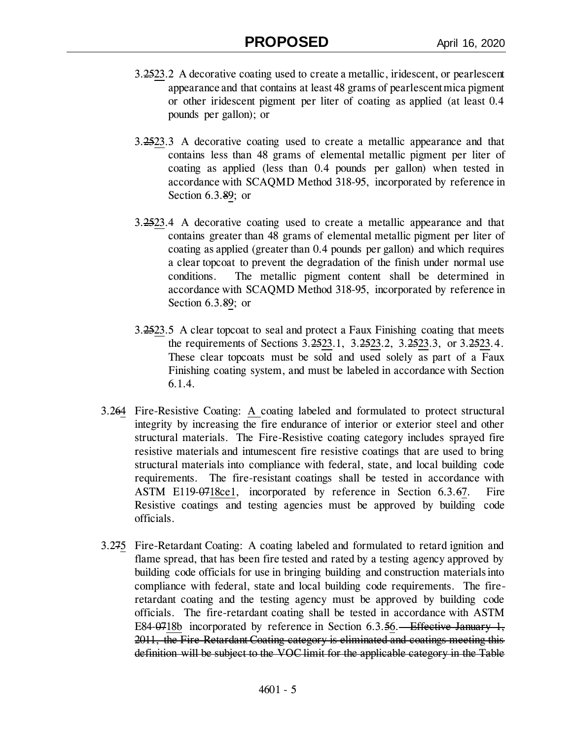- 3.2523.2 A decorative coating used to create a metallic, iridescent, or pearlescent appearance and that contains at least 48 grams of pearlescent mica pigment or other iridescent pigment per liter of coating as applied (at least 0.4 pounds per gallon); or
- 3.2523.3 A decorative coating used to create a metallic appearance and that contains less than 48 grams of elemental metallic pigment per liter of coating as applied (less than 0.4 pounds per gallon) when tested in accordance with SCAQMD Method 318-95, incorporated by reference in Section 6.3.89; or
- 3.2523.4 A decorative coating used to create a metallic appearance and that contains greater than 48 grams of elemental metallic pigment per liter of coating as applied (greater than 0.4 pounds per gallon) and which requires a clear topcoat to prevent the degradation of the finish under normal use conditions. The metallic pigment content shall be determined in accordance with SCAQMD Method 318-95, incorporated by reference in Section 6.3.89; or
- 3.2523.5 A clear topcoat to seal and protect a Faux Finishing coating that meets the requirements of Sections 3.2523.1, 3.2523.2, 3.2523.3, or 3.2523.4. These clear topcoats must be sold and used solely as part of a Faux Finishing coating system, and must be labeled in accordance with Section 6.1.4.
- 3.264 Fire-Resistive Coating: A coating labeled and formulated to protect structural integrity by increasing the fire endurance of interior or exterior steel and other structural materials. The Fire-Resistive coating category includes sprayed fire resistive materials and intumescent fire resistive coatings that are used to bring structural materials into compliance with federal, state, and local building code requirements. The fire-resistant coatings shall be tested in accordance with ASTM E119-0718ce1, incorporated by reference in Section 6.3.67. Fire Resistive coatings and testing agencies must be approved by building code officials.
- 3.275 Fire-Retardant Coating: A coating labeled and formulated to retard ignition and flame spread, that has been fire tested and rated by a testing agency approved by building code officials for use in bringing building and construction materials into compliance with federal, state and local building code requirements. The fireretardant coating and the testing agency must be approved by building code officials. The fire-retardant coating shall be tested in accordance with ASTM E84-0718b incorporated by reference in Section 6.3.56. Effective January 1, 2011, the Fire-Retardant Coating category is eliminated and coatings meeting this definition will be subject to the VOC limit for the applicable category in the Table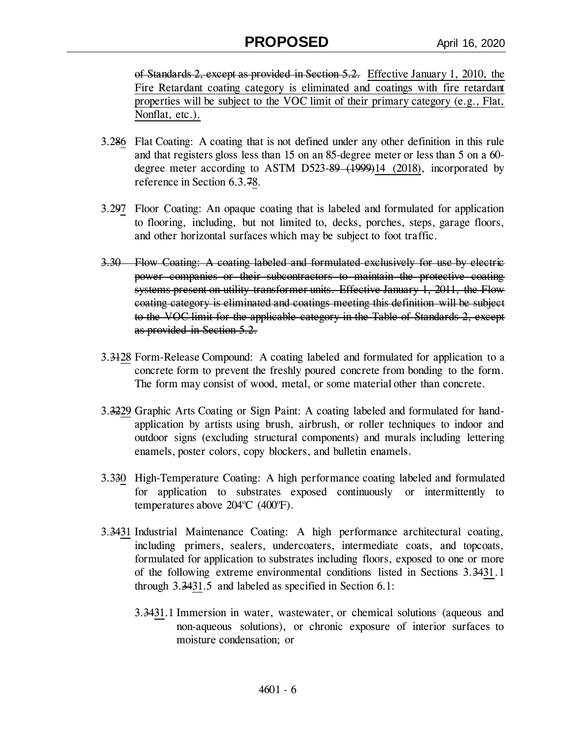of Standards 2, except as provided in Section 5.2. Effective January 1, 2010, the Fire Retardant coating category is eliminated and coatings with fire retardant properties will be subject to the VOC limit of their primary category (e.g., Flat, Nonflat, etc.).

- 3.286 Flat Coating: A coating that is not defined under any other definition in this rule and that registers gloss less than 15 on an 85-degree meter or less than 5 on a 60 degree meter according to ASTM D523-89 (1999)14 (2018), incorporated by reference in Section 6.3.78.
- 3.297 Floor Coating: An opaque coating that is labeled and formulated for application to flooring, including, but not limited to, decks, porches, steps, garage floors, and other horizontal surfaces which may be subject to foot traffic.
- 3.30 Flow Coating: A coating labeled and formulated exclusively for use by electric power companies or their subcontractors to maintain the protective coating systems present on utility transformer units. Effective January 1, 2011, the Flow coating category is eliminated and coatings meeting this definition will be subject to the VOC limit for the applicable category in the Table of Standards 2, except as provided in Section 5.2.
- 3.3128 Form-Release Compound: A coating labeled and formulated for application to a concrete form to prevent the freshly poured concrete from bonding to the form. The form may consist of wood, metal, or some material other than concrete.
- 3.3229 Graphic Arts Coating or Sign Paint: A coating labeled and formulated for handapplication by artists using brush, airbrush, or roller techniques to indoor and outdoor signs (excluding structural components) and murals including lettering enamels, poster colors, copy blockers, and bulletin enamels.
- 3.330 High-Temperature Coating: A high performance coating labeled and formulated for application to substrates exposed continuously or intermittently to temperatures above  $204^{\circ}$ C (400 $^{\circ}$ F).
- 3.3431 Industrial Maintenance Coating: A high performance architectural coating, including primers, sealers, undercoaters, intermediate coats, and topcoats, formulated for application to substrates including floors, exposed to one or more of the following extreme environmental conditions listed in Sections 3.3431.1 through 3.3431.5 and labeled as specified in Section 6.1:
	- 3.3431.1 Immersion in water, wastewater, or chemical solutions (aqueous and non-aqueous solutions), or chronic exposure of interior surfaces to moisture condensation; or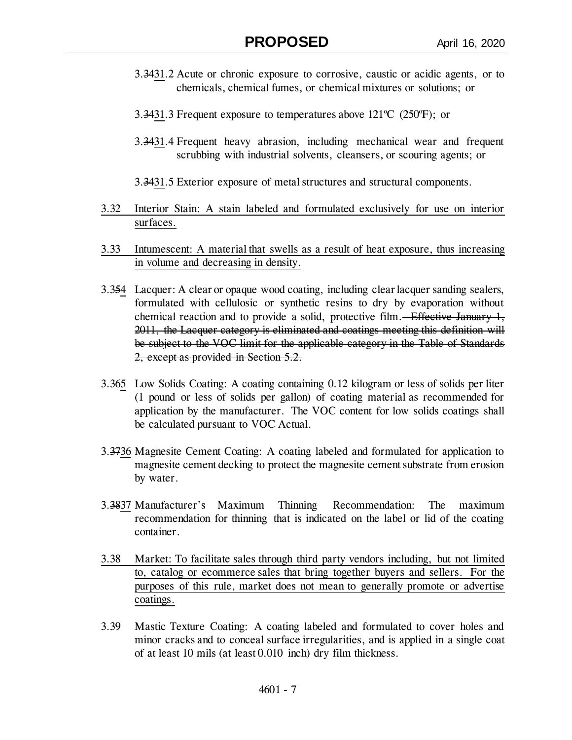- 3.3431.2 Acute or chronic exposure to corrosive, caustic or acidic agents, or to chemicals, chemical fumes, or chemical mixtures or solutions; or
- 3.3431.3 Frequent exposure to temperatures above  $121^{\circ}C$  (250 $^{\circ}F$ ); or
- 3.3431.4 Frequent heavy abrasion, including mechanical wear and frequent scrubbing with industrial solvents, cleansers, or scouring agents; or
- 3.3431.5 Exterior exposure of metal structures and structural components.
- 3.32 Interior Stain: A stain labeled and formulated exclusively for use on interior surfaces.
- 3.33 Intumescent: A material that swells as a result of heat exposure, thus increasing in volume and decreasing in density.
- 3.354 Lacquer: A clear or opaque wood coating, including clear lacquer sanding sealers, formulated with cellulosic or synthetic resins to dry by evaporation without chemical reaction and to provide a solid, protective film. Effective January 1, 2011, the Lacquer category is eliminated and coatings meeting this definition will be subject to the VOC limit for the applicable category in the Table of Standards 2, except as provided in Section 5.2.
- 3.365 Low Solids Coating: A coating containing 0.12 kilogram or less of solids per liter (1 pound or less of solids per gallon) of coating material as recommended for application by the manufacturer. The VOC content for low solids coatings shall be calculated pursuant to VOC Actual.
- 3.3736 Magnesite Cement Coating: A coating labeled and formulated for application to magnesite cement decking to protect the magnesite cement substrate from erosion by water.
- 3.3837 Manufacturer's Maximum Thinning Recommendation: The maximum recommendation for thinning that is indicated on the label or lid of the coating container.
- 3.38 Market: To facilitate sales through third party vendors including, but not limited to, catalog or ecommerce sales that bring together buyers and sellers. For the purposes of this rule, market does not mean to generally promote or advertise coatings.
- 3.39 Mastic Texture Coating: A coating labeled and formulated to cover holes and minor cracks and to conceal surface irregularities, and is applied in a single coat of at least 10 mils (at least 0.010 inch) dry film thickness.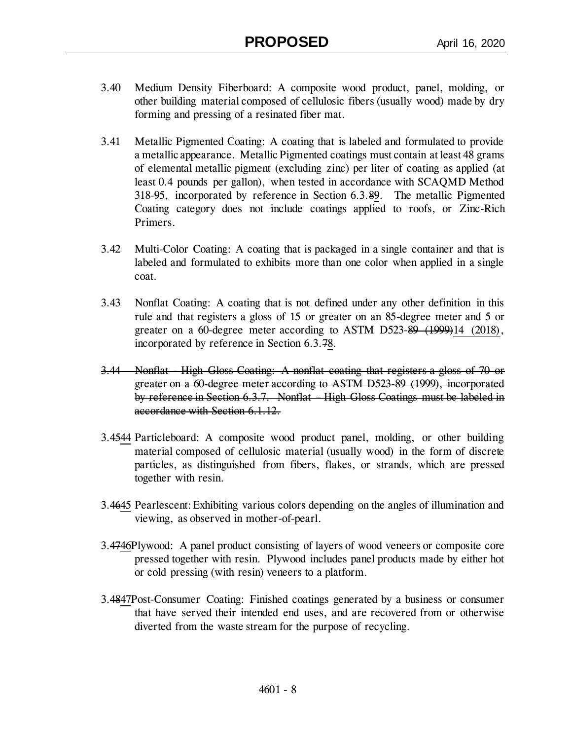- 3.40 Medium Density Fiberboard: A composite wood product, panel, molding, or other building material composed of cellulosic fibers (usually wood) made by dry forming and pressing of a resinated fiber mat.
- 3.41 Metallic Pigmented Coating: A coating that is labeled and formulated to provide a metallic appearance. Metallic Pigmented coatings must contain at least 48 grams of elemental metallic pigment (excluding zinc) per liter of coating as applied (at least 0.4 pounds per gallon), when tested in accordance with SCAQMD Method 318-95, incorporated by reference in Section 6.3.89. The metallic Pigmented Coating category does not include coatings applied to roofs, or Zinc-Rich Primers.
- 3.42 Multi-Color Coating: A coating that is packaged in a single container and that is labeled and formulated to exhibits more than one color when applied in a single coat.
- 3.43 Nonflat Coating: A coating that is not defined under any other definition in this rule and that registers a gloss of 15 or greater on an 85-degree meter and 5 or greater on a 60-degree meter according to ASTM D523-89 (1999)14 (2018), incorporated by reference in Section 6.3.78.
- 3.44 Nonflat High Gloss Coating: A nonflat coating that registers a gloss of 70 or greater on a 60-degree meter according to ASTM D523-89 (1999), incorporated by reference in Section 6.3.7. Nonflat – High Gloss Coatings must be labeled in accordance with Section 6.1.12.
- 3.4544 Particleboard: A composite wood product panel, molding, or other building material composed of cellulosic material (usually wood) in the form of discrete particles, as distinguished from fibers, flakes, or strands, which are pressed together with resin.
- 3.4645 Pearlescent: Exhibiting various colors depending on the angles of illumination and viewing, as observed in mother-of-pearl.
- 3.4746Plywood: A panel product consisting of layers of wood veneers or composite core pressed together with resin. Plywood includes panel products made by either hot or cold pressing (with resin) veneers to a platform.
- 3.4847Post-Consumer Coating: Finished coatings generated by a business or consumer that have served their intended end uses, and are recovered from or otherwise diverted from the waste stream for the purpose of recycling.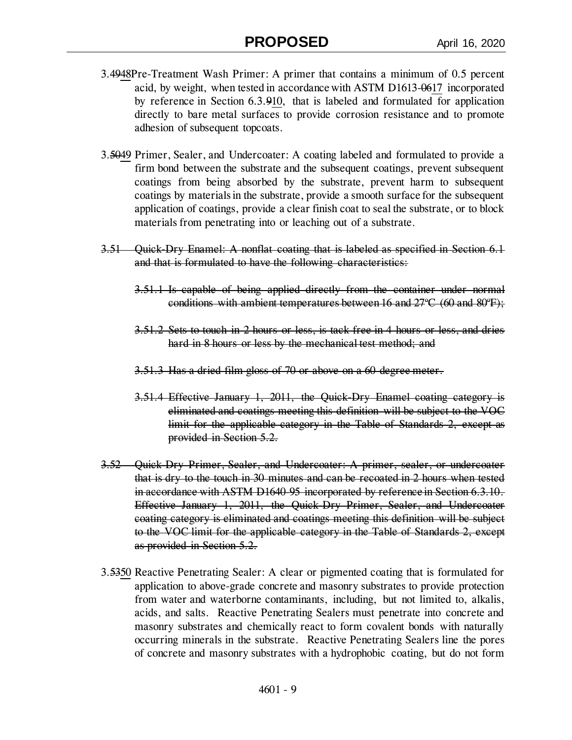- 3.4948Pre-Treatment Wash Primer: A primer that contains a minimum of 0.5 percent acid, by weight, when tested in accordance with ASTM D1613-0617 incorporated by reference in Section 6.3.910, that is labeled and formulated for application directly to bare metal surfaces to provide corrosion resistance and to promote adhesion of subsequent topcoats.
- 3.5049 Primer, Sealer, and Undercoater: A coating labeled and formulated to provide a firm bond between the substrate and the subsequent coatings, prevent subsequent coatings from being absorbed by the substrate, prevent harm to subsequent coatings by materials in the substrate, provide a smooth surface for the subsequent application of coatings, provide a clear finish coat to seal the substrate, or to block materials from penetrating into or leaching out of a substrate.
- 3.51 Quick-Dry Enamel: A nonflat coating that is labeled as specified in Section 6.1 and that is formulated to have the following characteristics:
	- 3.51.1 Is capable of being applied directly from the container under normal conditions with ambient temperatures between 16 and  $27^{\circ}C$  (60 and  $80^{\circ}F$ );
	- 3.51.2 Sets to touch in 2 hours or less, is tack free in 4 hours or less, and dries hard in 8 hours or less by the mechanical test method; and
	- 3.51.3 Has a dried film gloss of 70 or above on a 60 degree meter.
	- 3.51.4 Effective January 1, 2011, the Quick-Dry Enamel coating category is eliminated and coatings meeting this definition will be subject to the VOC limit for the applicable category in the Table of Standards 2, except as provided in Section 5.2.
- 3.52 Quick-Dry Primer, Sealer, and Undercoater: A primer, sealer, or undercoater that is dry to the touch in 30 minutes and can be recoated in 2 hours when tested in accordance with ASTM D1640-95 incorporated by reference in Section 6.3.10. Effective January 1, 2011, the Quick-Dry Primer, Sealer, and Undercoater coating category is eliminated and coatings meeting this definition will be subject to the VOC limit for the applicable category in the Table of Standards 2, except as provided in Section 5.2.
- 3.5350 Reactive Penetrating Sealer: A clear or pigmented coating that is formulated for application to above-grade concrete and masonry substrates to provide protection from water and waterborne contaminants, including, but not limited to, alkalis, acids, and salts. Reactive Penetrating Sealers must penetrate into concrete and masonry substrates and chemically react to form covalent bonds with naturally occurring minerals in the substrate. Reactive Penetrating Sealers line the pores of concrete and masonry substrates with a hydrophobic coating, but do not form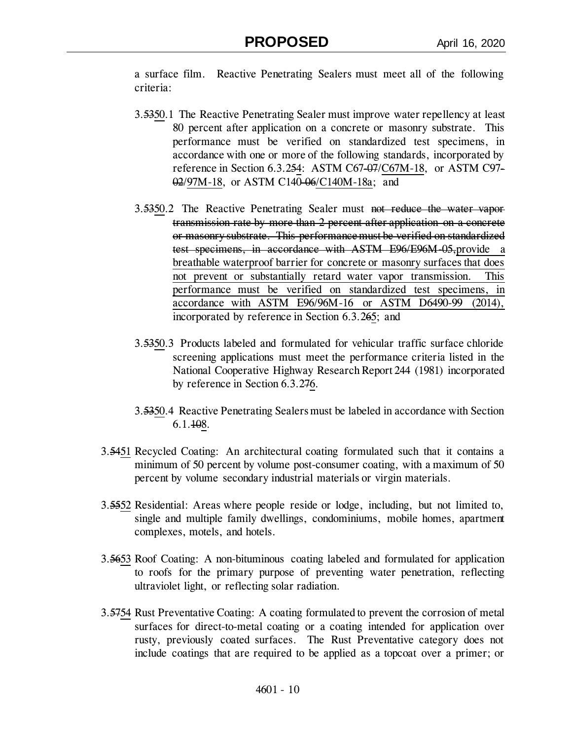a surface film. Reactive Penetrating Sealers must meet all of the following criteria:

- 3.5350.1 The Reactive Penetrating Sealer must improve water repellency at least 80 percent after application on a concrete or masonry substrate. This performance must be verified on standardized test specimens, in accordance with one or more of the following standards, incorporated by reference in Section 6.3.254: ASTM C67-07/C67M-18, or ASTM C97- 02/97M-18, or ASTM C140-06/C140M-18a; and
- 3.5350.2 The Reactive Penetrating Sealer must not reduce the water vapor transmission rate by more than 2 percent after application on a concrete or masonry substrate. This performance must be verified on standardized test specimens, in accordance with ASTM E96/E96M-05,provide a breathable waterproof barrier for concrete or masonry surfaces that does not prevent or substantially retard water vapor transmission. This performance must be verified on standardized test specimens, in accordance with ASTM E96/96M-16 or ASTM D6490-99 (2014), incorporated by reference in Section 6.3.265; and
- 3.5350.3 Products labeled and formulated for vehicular traffic surface chloride screening applications must meet the performance criteria listed in the National Cooperative Highway Research Report 244 (1981) incorporated by reference in Section 6.3.276.
- 3.5350.4 Reactive Penetrating Sealers must be labeled in accordance with Section 6.1.108.
- 3.5451 Recycled Coating: An architectural coating formulated such that it contains a minimum of 50 percent by volume post-consumer coating, with a maximum of 50 percent by volume secondary industrial materials or virgin materials.
- 3.5552 Residential: Areas where people reside or lodge, including, but not limited to, single and multiple family dwellings, condominiums, mobile homes, apartment complexes, motels, and hotels.
- 3.5653 Roof Coating: A non-bituminous coating labeled and formulated for application to roofs for the primary purpose of preventing water penetration, reflecting ultraviolet light, or reflecting solar radiation.
- 3.5754 Rust Preventative Coating: A coating formulated to prevent the corrosion of metal surfaces for direct-to-metal coating or a coating intended for application over rusty, previously coated surfaces. The Rust Preventative category does not include coatings that are required to be applied as a topcoat over a primer; or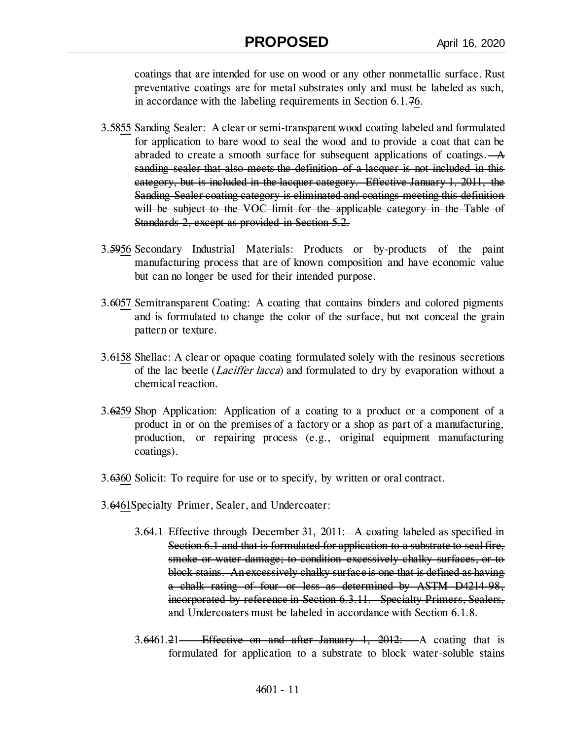coatings that are intended for use on wood or any other nonmetallic surface. Rust preventative coatings are for metal substrates only and must be labeled as such, in accordance with the labeling requirements in Section 6.1.76.

- 3.5855 Sanding Sealer: A clear or semi-transparent wood coating labeled and formulated for application to bare wood to seal the wood and to provide a coat that can be abraded to create a smooth surface for subsequent applications of coatings. $-A$ sanding sealer that also meets the definition of a lacquer is not included in this category, but is included in the lacquer category. Effective January 1, 2011, the Sanding Sealer coating category is eliminated and coatings meeting this definition will be subject to the VOC limit for the applicable category in the Table of Standards 2, except as provided in Section 5.2.
- 3.5956 Secondary Industrial Materials: Products or by-products of the paint manufacturing process that are of known composition and have economic value but can no longer be used for their intended purpose.
- 3.6057 Semitransparent Coating: A coating that contains binders and colored pigments and is formulated to change the color of the surface, but not conceal the grain pattern or texture.
- 3.6158 Shellac: A clear or opaque coating formulated solely with the resinous secretions of the lac beetle *(Laciffer lacca)* and formulated to dry by evaporation without a chemical reaction.
- 3.6259 Shop Application: Application of a coating to a product or a component of a product in or on the premises of a factory or a shop as part of a manufacturing, production, or repairing process (e.g., original equipment manufacturing coatings).
- 3.6360 Solicit: To require for use or to specify, by written or oral contract.
- 3.6461Specialty Primer, Sealer, and Undercoater:
	- 3.64.1 Effective through December 31, 2011: A coating labeled as specified in Section 6.1 and that is formulated for application to a substrate to seal fire, smoke or water damage; to condition excessively chalky surfaces, or to block stains. An excessively chalky surface is one that is defined as having a chalk rating of four or less as determined by ASTM D4214-98, incorporated by reference in Section 6.3.11. Specialty Primers, Sealers, and Undercoaters must be labeled in accordance with Section 6.1.8.
	- $3.6461.21$  Effective on and after January 1,  $2012$ : A coating that is formulated for application to a substrate to block water-soluble stains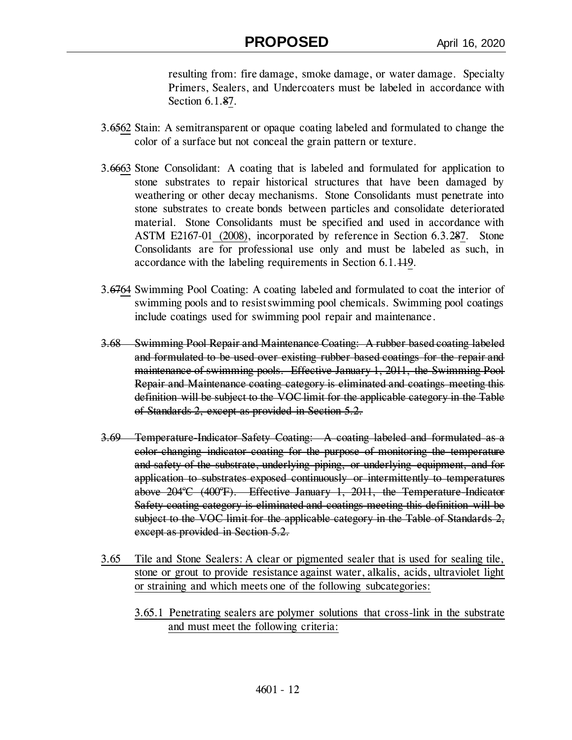resulting from: fire damage, smoke damage, or water damage. Specialty Primers, Sealers, and Undercoaters must be labeled in accordance with Section 6.1.87.

- 3.6562 Stain: A semitransparent or opaque coating labeled and formulated to change the color of a surface but not conceal the grain pattern or texture.
- 3.6663 Stone Consolidant: A coating that is labeled and formulated for application to stone substrates to repair historical structures that have been damaged by weathering or other decay mechanisms. Stone Consolidants must penetrate into stone substrates to create bonds between particles and consolidate deteriorated material. Stone Consolidants must be specified and used in accordance with ASTM E2167-01 (2008), incorporated by reference in Section 6.3.287. Stone Consolidants are for professional use only and must be labeled as such, in accordance with the labeling requirements in Section 6.1.119.
- 3.6764 Swimming Pool Coating: A coating labeled and formulated to coat the interior of swimming pools and to resist swimming pool chemicals. Swimming pool coatings include coatings used for swimming pool repair and maintenance.
- 3.68 Swimming Pool Repair and Maintenance Coating: A rubber based coating labeled and formulated to be used over existing rubber based coatings for the repair and maintenance of swimming pools. Effective January 1, 2011, the Swimming Pool Repair and Maintenance coating category is eliminated and coatings meeting this definition will be subject to the VOC limit for the applicable category in the Table of Standards 2, except as provided in Section 5.2.
- 3.69 Temperature-Indicator Safety Coating: A coating labeled and formulated as a color-changing indicator coating for the purpose of monitoring the temperature and safety of the substrate, underlying piping, or underlying equipment, and for application to substrates exposed continuously or intermittently to temperatures above  $204^{\circ}C$  (400 $^{\circ}F$ ). Effective January 1, 2011, the Temperature-Indicator Safety coating category is eliminated and coatings meeting this definition will be subject to the VOC limit for the applicable category in the Table of Standards 2, except as provided in Section 5.2.
- 3.65 Tile and Stone Sealers: A clear or pigmented sealer that is used for sealing tile, stone or grout to provide resistance against water, alkalis, acids, ultraviolet light or straining and which meets one of the following subcategories:
	- 3.65.1 Penetrating sealers are polymer solutions that cross-link in the substrate and must meet the following criteria: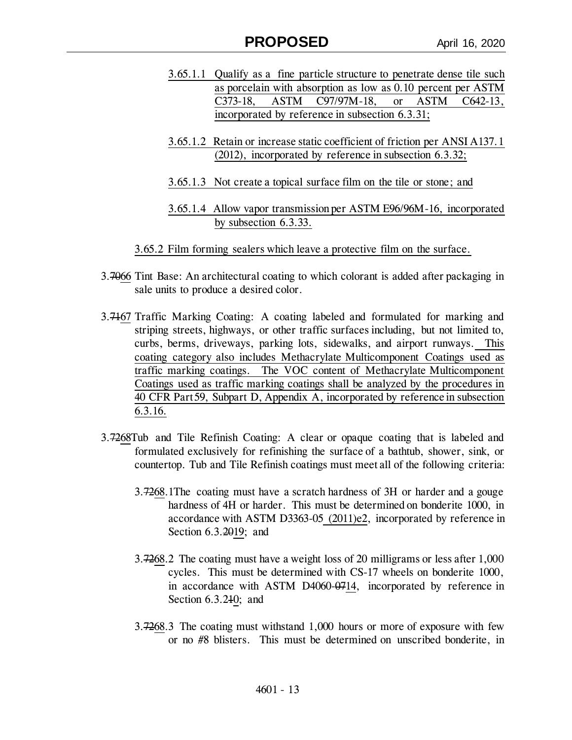- 3.65.1.1 Qualify as a fine particle structure to penetrate dense tile such as porcelain with absorption as low as 0.10 percent per ASTM C373-18, ASTM C97/97M-18, or ASTM C642-13, incorporated by reference in subsection 6.3.31;
- 3.65.1.2 Retain or increase static coefficient of friction per ANSI A137.1 (2012), incorporated by reference in subsection 6.3.32;
- 3.65.1.3 Not create a topical surface film on the tile or stone; and
- 3.65.1.4 Allow vapor transmission per ASTM E96/96M-16, incorporated by subsection 6.3.33.
- 3.65.2 Film forming sealers which leave a protective film on the surface.
- 3.7066 Tint Base: An architectural coating to which colorant is added after packaging in sale units to produce a desired color.
- 3.7167 Traffic Marking Coating: A coating labeled and formulated for marking and striping streets, highways, or other traffic surfaces including, but not limited to, curbs, berms, driveways, parking lots, sidewalks, and airport runways. This coating category also includes Methacrylate Multicomponent Coatings used as traffic marking coatings. The VOC content of Methacrylate Multicomponent Coatings used as traffic marking coatings shall be analyzed by the procedures in 40 CFR Part 59, Subpart D, Appendix A, incorporated by reference in subsection 6.3.16.
- 3.7268Tub and Tile Refinish Coating: A clear or opaque coating that is labeled and formulated exclusively for refinishing the surface of a bathtub, shower, sink, or countertop. Tub and Tile Refinish coatings must meet all of the following criteria:
	- 3.7268.1The coating must have a scratch hardness of 3H or harder and a gouge hardness of 4H or harder. This must be determined on bonderite 1000, in accordance with ASTM D3363-05 (2011)e2, incorporated by reference in Section 6.3.2019; and
	- 3.7268.2 The coating must have a weight loss of 20 milligrams or less after 1,000 cycles. This must be determined with CS-17 wheels on bonderite 1000, in accordance with ASTM D4060-0714, incorporated by reference in Section 6.3.210; and
	- 3.7268.3 The coating must withstand 1,000 hours or more of exposure with few or no #8 blisters. This must be determined on unscribed bonderite, in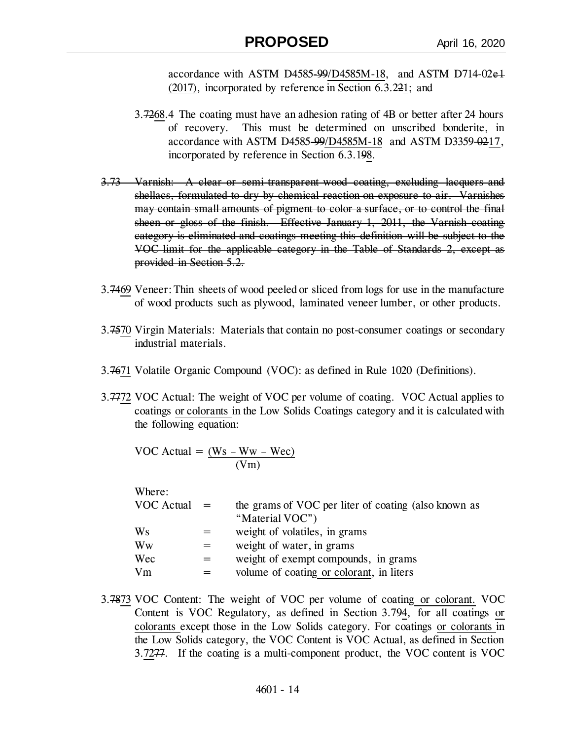accordance with ASTM D4585-99/D4585M-18, and ASTM D714-02e1 (2017), incorporated by reference in Section 6.3.221; and

- 3.7268.4 The coating must have an adhesion rating of 4B or better after 24 hours of recovery. This must be determined on unscribed bonderite, in accordance with ASTM D4585-99/D4585M-18 and ASTM D3359-0217, incorporated by reference in Section 6.3.198.
- 3.73 Varnish: A clear or semi-transparent wood coating, excluding lacquers and shellacs, formulated to dry by chemical reaction on exposure to air. Varnishes may contain small amounts of pigment to color a surface, or to control the final sheen or gloss of the finish. Effective January 1, 2011, the Varnish coating category is eliminated and coatings meeting this definition will be subject to the VOC limit for the applicable category in the Table of Standards 2, except as provided in Section 5.2.
- 3.7469 Veneer: Thin sheets of wood peeled or sliced from logs for use in the manufacture of wood products such as plywood, laminated veneer lumber, or other products.
- 3.7570 Virgin Materials: Materials that contain no post-consumer coatings or secondary industrial materials.
- 3.7671 Volatile Organic Compound (VOC): as defined in Rule 1020 (Definitions).
- 3.7772 VOC Actual: The weight of VOC per volume of coating. VOC Actual applies to coatings or colorants in the Low Solids Coatings category and it is calculated with the following equation:

VOC Actual =  $(Ws - Ww - Wec)$ (Vm)

| Where:     |     |                                                      |
|------------|-----|------------------------------------------------------|
| VOC Actual | $=$ | the grams of VOC per liter of coating (also known as |
|            |     | "Material VOC")                                      |
| Ws         |     | weight of volatiles, in grams                        |
| Ww         | =   | weight of water, in grams                            |
| Wec        | =   | weight of exempt compounds, in grams                 |
| Vm         |     | volume of coating or colorant, in liters             |

3.7873 VOC Content: The weight of VOC per volume of coating or colorant. VOC Content is VOC Regulatory, as defined in Section 3.794, for all coatings or colorants except those in the Low Solids category. For coatings or colorants in the Low Solids category, the VOC Content is VOC Actual, as defined in Section 3.7277. If the coating is a multi-component product, the VOC content is VOC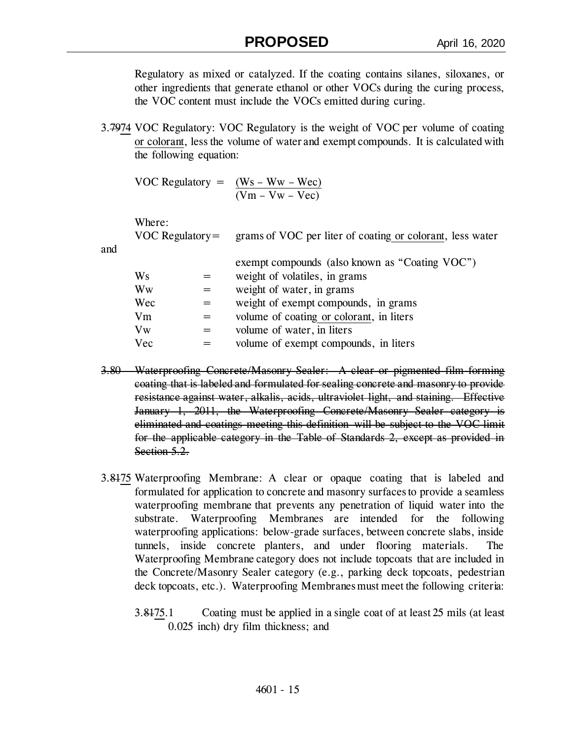Regulatory as mixed or catalyzed. If the coating contains silanes, siloxanes, or other ingredients that generate ethanol or other VOCs during the curing process, the VOC content must include the VOCs emitted during curing.

3.7974 VOC Regulatory: VOC Regulatory is the weight of VOC per volume of coating or colorant, less the volume of water and exempt compounds. It is calculated with the following equation:

VOC Regulatory =  $(Ws - Ww - Wec)$  $(Vm - Vw - Vec)$ 

Where:

VOC Regulatory= grams of VOC per liter of coating or colorant, less water

and

|         | exempt compounds (also known as "Coating VOC") |
|---------|------------------------------------------------|
| Ws      | weight of volatiles, in grams                  |
| Ww      | weight of water, in grams                      |
| Wec     | weight of exempt compounds, in grams           |
| Vm      | volume of coating or colorant, in liters       |
| $V_{W}$ | volume of water, in liters                     |
| Vec     | volume of exempt compounds, in liters          |
|         |                                                |

- 3.80 Waterproofing Concrete/Masonry Sealer: A clear or pigmented film-forming coating that is labeled and formulated for sealing concrete and masonry to provide resistance against water, alkalis, acids, ultraviolet light, and staining. Effective January 1, 2011, the Waterproofing Concrete/Masonry Sealer category is eliminated and coatings meeting this definition will be subject to the VOC limit for the applicable category in the Table of Standards 2, except as provided in Section 5.2.
- 3.8175 Waterproofing Membrane: A clear or opaque coating that is labeled and formulated for application to concrete and masonry surfaces to provide a seamless waterproofing membrane that prevents any penetration of liquid water into the substrate. Waterproofing Membranes are intended for the following waterproofing applications: below-grade surfaces, between concrete slabs, inside tunnels, inside concrete planters, and under flooring materials. Waterproofing Membrane category does not include topcoats that are included in the Concrete/Masonry Sealer category (e.g., parking deck topcoats, pedestrian deck topcoats, etc.). Waterproofing Membranes must meet the following criteria:
	- 3.8175.1 Coating must be applied in a single coat of at least 25 mils (at least 0.025 inch) dry film thickness; and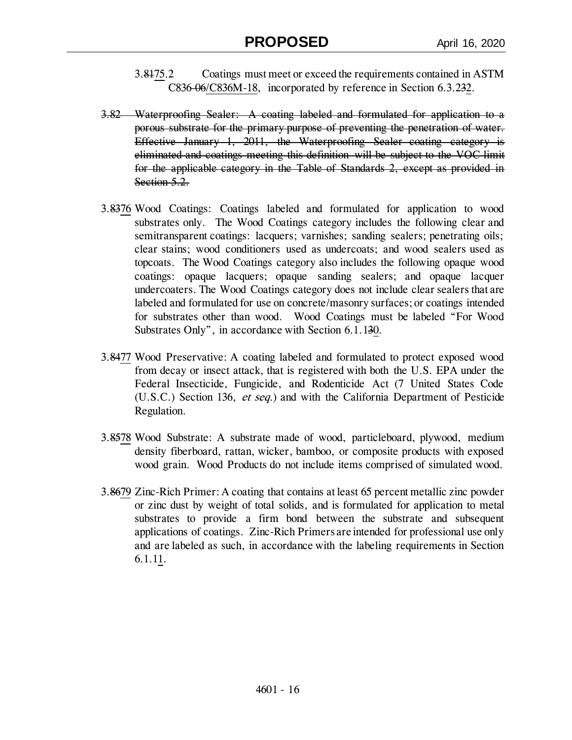- 3.8175.2 Coatings must meet or exceed the requirements contained in ASTM C836-06/C836M-18, incorporated by reference in Section 6.3.232.
- 3.82 Waterproofing Sealer: A coating labeled and formulated for application to a porous substrate for the primary purpose of preventing the penetration of water. Effective January 1, 2011, the Waterproofing Sealer coating category is eliminated and coatings meeting this definition will be subject to the VOC limit for the applicable category in the Table of Standards 2, except as provided in Section 5.2.
- 3.8376 Wood Coatings: Coatings labeled and formulated for application to wood substrates only. The Wood Coatings category includes the following clear and semitransparent coatings: lacquers; varnishes; sanding sealers; penetrating oils; clear stains; wood conditioners used as undercoats; and wood sealers used as topcoats. The Wood Coatings category also includes the following opaque wood coatings: opaque lacquers; opaque sanding sealers; and opaque lacquer undercoaters. The Wood Coatings category does not include clear sealers that are labeled and formulated for use on concrete/masonry surfaces; or coatings intended for substrates other than wood. Wood Coatings must be labeled "For Wood Substrates Only", in accordance with Section 6.1.130.
- 3.8477 Wood Preservative: A coating labeled and formulated to protect exposed wood from decay or insect attack, that is registered with both the U.S. EPA under the Federal Insecticide, Fungicide, and Rodenticide Act (7 United States Code (U.S.C.) Section 136, et seq.) and with the California Department of Pesticide Regulation.
- 3.8578 Wood Substrate: A substrate made of wood, particleboard, plywood, medium density fiberboard, rattan, wicker, bamboo, or composite products with exposed wood grain. Wood Products do not include items comprised of simulated wood.
- 3.8679 Zinc-Rich Primer: A coating that contains at least 65 percent metallic zinc powder or zinc dust by weight of total solids, and is formulated for application to metal substrates to provide a firm bond between the substrate and subsequent applications of coatings. Zinc-Rich Primers are intended for professional use only and are labeled as such, in accordance with the labeling requirements in Section 6.1.11.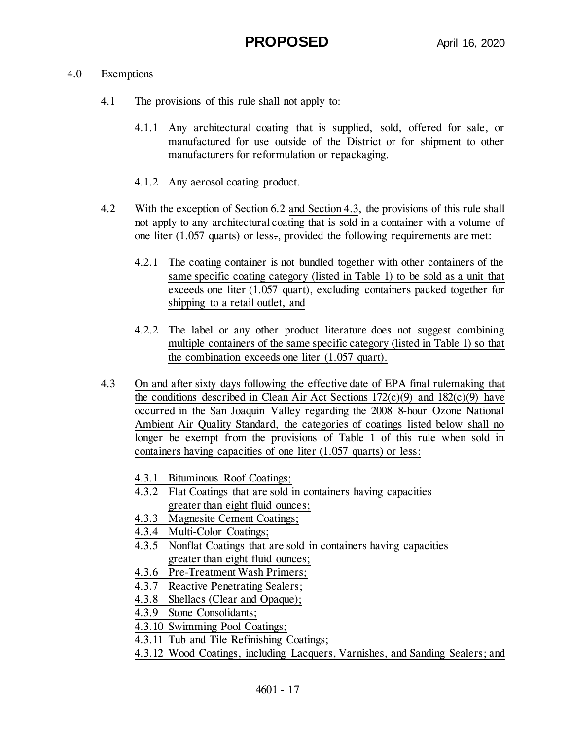## 4.0 Exemptions

- 4.1 The provisions of this rule shall not apply to:
	- 4.1.1 Any architectural coating that is supplied, sold, offered for sale, or manufactured for use outside of the District or for shipment to other manufacturers for reformulation or repackaging.
	- 4.1.2 Any aerosol coating product.
- 4.2 With the exception of Section 6.2 and Section 4.3, the provisions of this rule shall not apply to any architectural coating that is sold in a container with a volume of one liter (1.057 quarts) or less., provided the following requirements are met:
	- 4.2.1 The coating container is not bundled together with other containers of the same specific coating category (listed in Table 1) to be sold as a unit that exceeds one liter (1.057 quart), excluding containers packed together for shipping to a retail outlet, and
	- 4.2.2 The label or any other product literature does not suggest combining multiple containers of the same specific category (listed in Table 1) so that the combination exceeds one liter (1.057 quart).
- 4.3 On and after sixty days following the effective date of EPA final rulemaking that the conditions described in Clean Air Act Sections  $172(c)(9)$  and  $182(c)(9)$  have occurred in the San Joaquin Valley regarding the 2008 8-hour Ozone National Ambient Air Quality Standard, the categories of coatings listed below shall no longer be exempt from the provisions of Table 1 of this rule when sold in containers having capacities of one liter (1.057 quarts) or less:
	- 4.3.1 Bituminous Roof Coatings;
	- 4.3.2 Flat Coatings that are sold in containers having capacities greater than eight fluid ounces;
	- 4.3.3 Magnesite Cement Coatings;
	- 4.3.4 Multi-Color Coatings;
	- 4.3.5 Nonflat Coatings that are sold in containers having capacities greater than eight fluid ounces;
	- 4.3.6 Pre-Treatment Wash Primers;
	- 4.3.7 Reactive Penetrating Sealers;
	- 4.3.8 Shellacs (Clear and Opaque);
	- 4.3.9 Stone Consolidants;
	- 4.3.10 Swimming Pool Coatings;
	- 4.3.11 Tub and Tile Refinishing Coatings;
	- 4.3.12 Wood Coatings, including Lacquers, Varnishes, and Sanding Sealers; and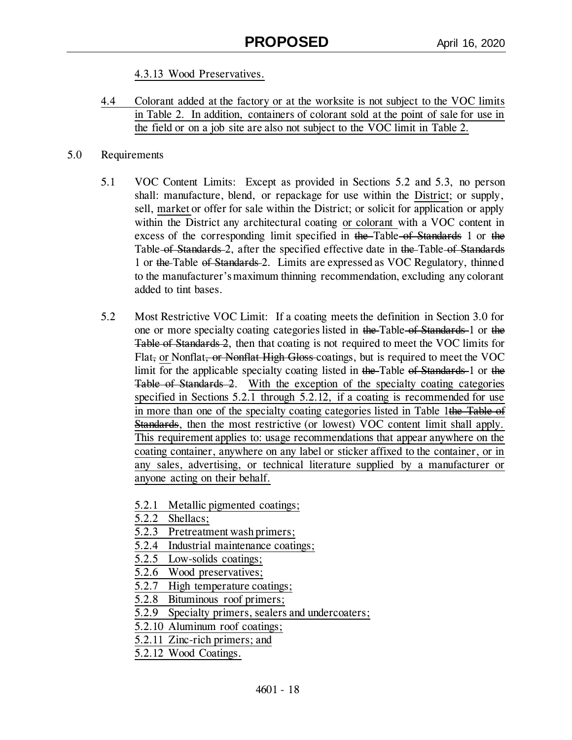4.3.13 Wood Preservatives.

4.4 Colorant added at the factory or at the worksite is not subject to the VOC limits in Table 2. In addition, containers of colorant sold at the point of sale for use in the field or on a job site are also not subject to the VOC limit in Table 2.

### 5.0 Requirements

- 5.1 VOC Content Limits: Except as provided in Sections 5.2 and 5.3, no person shall: manufacture, blend, or repackage for use within the District; or supply, sell, market or offer for sale within the District; or solicit for application or apply within the District any architectural coating or colorant with a VOC content in excess of the corresponding limit specified in the Table of Standards 1 or the Table of Standards 2, after the specified effective date in the Table of Standards 1 or the Table of Standards 2. Limits are expressed as VOC Regulatory, thinned to the manufacturer's maximum thinning recommendation, excluding any colorant added to tint bases.
- 5.2 Most Restrictive VOC Limit: If a coating meets the definition in Section 3.0 for one or more specialty coating categories listed in the Table of Standards 1 or the Table of Standards 2, then that coating is not required to meet the VOC limits for Flat, or Nonflat, or Nonflat High Gloss coatings, but is required to meet the VOC limit for the applicable specialty coating listed in the Table of Standards 1 or the Table of Standards 2. With the exception of the specialty coating categories specified in Sections 5.2.1 through 5.2.12, if a coating is recommended for use in more than one of the specialty coating categories listed in Table 1the Table of Standards, then the most restrictive (or lowest) VOC content limit shall apply. This requirement applies to: usage recommendations that appear anywhere on the coating container, anywhere on any label or sticker affixed to the container, or in any sales, advertising, or technical literature supplied by a manufacturer or anyone acting on their behalf.
	- 5.2.1 Metallic pigmented coatings;
	- 5.2.2 Shellacs;
	- 5.2.3 Pretreatment wash primers;
	- 5.2.4 Industrial maintenance coatings;
	- 5.2.5 Low-solids coatings;
	- 5.2.6 Wood preservatives;
	- 5.2.7 High temperature coatings;
	- 5.2.8 Bituminous roof primers;
	- 5.2.9 Specialty primers, sealers and undercoaters;
	- 5.2.10 Aluminum roof coatings;
	- 5.2.11 Zinc-rich primers; and
	- 5.2.12 Wood Coatings.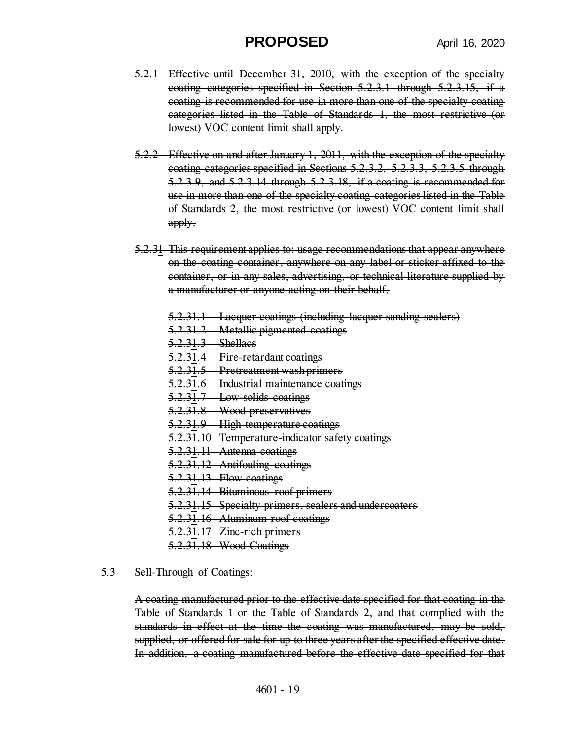- 5.2.1 Effective until December 31, 2010, with the exception of the specialty coating categories specified in Section 5.2.3.1 through 5.2.3.15, if a coating is recommended for use in more than one of the specialty coating categories listed in the Table of Standards 1, the most restrictive (or lowest) VOC content limit shall apply.
- 5.2.2 Effective on and after January 1, 2011, with the exception of the specialty coating categories specified in Sections 5.2.3.2, 5.2.3.3, 5.2.3.5 through 5.2.3.9, and 5.2.3.14 through 5.2.3.18, if a coating is recommended for use in more than one of the specialty coating categories listed in the Table of Standards 2, the most restrictive (or lowest) VOC content limit shall apply.
- 5.2.31 This requirement applies to: usage recommendations that appear anywhere on the coating container, anywhere on any label or sticker affixed to the container, or in any sales, advertising, or technical literature supplied by a manufacturer or anyone acting on their behalf.
	- 5.2.31.1 Lacquer coatings (including lacquer sanding sealers)
	- 5.2.31.2 Metallic pigmented coatings
	- 5.2.31.3 Shellacs
	- 5.2.31.4 Fire-retardant coatings
	- 5.2.31.5 Pretreatment wash primers
	- 5.2.31.6 Industrial maintenance coatings
	- 5.2.31.7 Low-solids coatings
	- 5.2.31.8 Wood preservatives
	- 5.2.31.9 High temperature coatings
	- 5.2.31.10 Temperature indicator safety coatings
	- 5.2.31.11 Antenna coatings
	- 5.2.31.12 Antifouling coatings
	- 5.2.31.13 Flow coatings
	- 5.2.31.14 Bituminous roof primers
	- 5.2.31.15 Specialty primers, sealers and undercoaters
	- 5.2.31.16 Aluminum roof coatings
	- 5.2.31.17 Zine rich primers
	- 5.2.31.18 Wood Coatings

#### 5.3 Sell-Through of Coatings:

A coating manufactured prior to the effective date specified for that coating in the Table of Standards 1 or the Table of Standards 2, and that complied with the standards in effect at the time the coating was manufactured, may be sold, supplied, or offered for sale for up to three years after the specified effective date. In addition, a coating manufactured before the effective date specified for that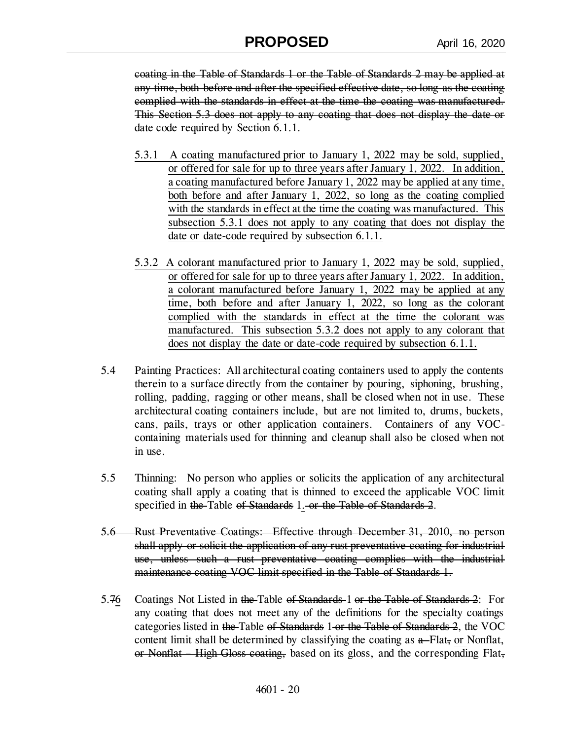coating in the Table of Standards 1 or the Table of Standards 2 may be applied at any time, both before and after the specified effective date, so long as the coating complied with the standards in effect at the time the coating was manufactured. This Section 5.3 does not apply to any coating that does not display the date or date code required by Section 6.1.1.

- 5.3.1 A coating manufactured prior to January 1, 2022 may be sold, supplied, or offered for sale for up to three years after January 1, 2022. In addition, a coating manufactured before January 1, 2022 may be applied at any time, both before and after January 1, 2022, so long as the coating complied with the standards in effect at the time the coating was manufactured. This subsection 5.3.1 does not apply to any coating that does not display the date or date-code required by subsection 6.1.1.
- 5.3.2 A colorant manufactured prior to January 1, 2022 may be sold, supplied, or offered for sale for up to three years after January 1, 2022. In addition, a colorant manufactured before January 1, 2022 may be applied at any time, both before and after January 1, 2022, so long as the colorant complied with the standards in effect at the time the colorant was manufactured. This subsection 5.3.2 does not apply to any colorant that does not display the date or date-code required by subsection 6.1.1.
- 5.4 Painting Practices: All architectural coating containers used to apply the contents therein to a surface directly from the container by pouring, siphoning, brushing, rolling, padding, ragging or other means, shall be closed when not in use. These architectural coating containers include, but are not limited to, drums, buckets, cans, pails, trays or other application containers. Containers of any VOCcontaining materials used for thinning and cleanup shall also be closed when not in use.
- 5.5 Thinning: No person who applies or solicits the application of any architectural coating shall apply a coating that is thinned to exceed the applicable VOC limit specified in the Table of Standards 1. or the Table of Standards 2.
- 5.6 Rust Preventative Coatings: Effective through December 31, 2010, no person shall apply or solicit the application of any rust preventative coating for industrial use, unless such a rust preventative coating complies with the industrial maintenance coating VOC limit specified in the Table of Standards 1.
- 5.76 Coatings Not Listed in the Table of Standards 1 or the Table of Standards 2: For any coating that does not meet any of the definitions for the specialty coatings categories listed in the Table of Standards 1 or the Table of Standards 2, the VOC content limit shall be determined by classifying the coating as  $a$ -Flat, or Nonflat, or Nonflat – High Gloss coating, based on its gloss, and the corresponding Flat,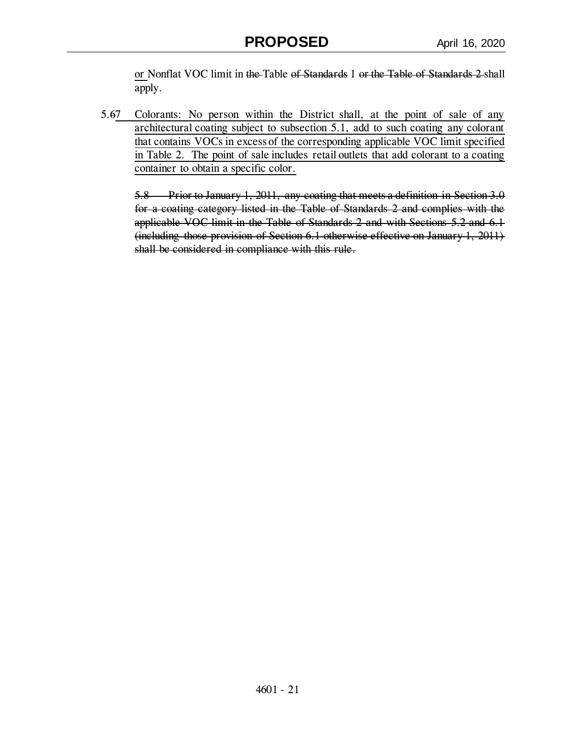or Nonflat VOC limit in the Table of Standards 1 or the Table of Standards 2 shall apply.

5.67 Colorants: No person within the District shall, at the point of sale of any architectural coating subject to subsection 5.1, add to such coating any colorant that contains VOCs in excess of the corresponding applicable VOC limit specified in Table 2. The point of sale includes retail outlets that add colorant to a coating container to obtain a specific color.

5.8 Prior to January 1, 2011, any coating that meets a definition in Section 3.0 for a coating category listed in the Table of Standards 2 and complies with the applicable VOC limit in the Table of Standards 2 and with Sections 5.2 and 6.1 (including those provision of Section 6.1 otherwise effective on January 1, 2011) shall be considered in compliance with this rule.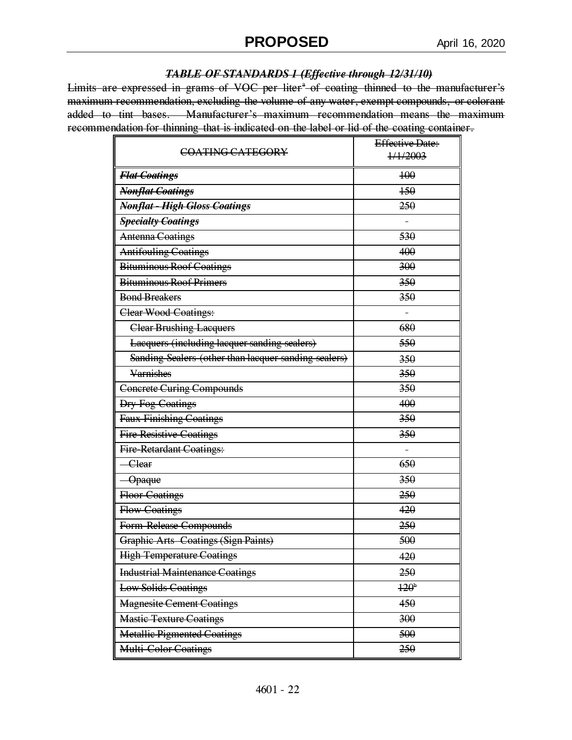#### *TABLE OF STANDARDS 1 (Effective through 12/31/10)*

Limits are expressed in grams of VOC per liter<sup>\*</sup> of coating thinned to the manufacturer's maximum recommendation, excluding the volume of any water, exempt compounds, or colorant added to tint bases. Manufacturer's maximum recommendation means the maximum recommendation for thinning that is indicated on the label or lid of the coating container.

| COATING CATEGORY                                     | <b>Effective Date:</b> |  |
|------------------------------------------------------|------------------------|--|
|                                                      | 1/1/2003               |  |
| <b>Flat Coatings</b>                                 | 400                    |  |
| <b>Nonflat Coatings</b>                              | 150                    |  |
| Nonflat - High Gloss Coatings                        | 250                    |  |
| <b>Specialty Coatings</b>                            |                        |  |
| <b>Antenna Coatings</b>                              | 530                    |  |
| <b>Antifouling Coatings</b>                          | 400                    |  |
| <b>Bituminous Roof Coatings</b>                      | 300                    |  |
| <b>Bituminous Roof Primers</b>                       | 350                    |  |
| <b>Bond Breakers</b>                                 | 350                    |  |
| <b>Clear Wood Coatings:</b>                          |                        |  |
| <b>Clear Brushing Lacquers</b>                       | 680                    |  |
| Lacquers (including lacquer sanding sealers)         | 550                    |  |
| Sanding Sealers (other than lacquer sanding sealers) | 350                    |  |
| <b>Varnishes</b>                                     | 350                    |  |
| <b>Concrete Curing Compounds</b>                     | 350                    |  |
| <b>Dry Fog Coatings</b>                              | 400                    |  |
| Faux Finishing Coatings                              | 350                    |  |
| <b>Fire Resistive Coatings</b>                       | 350                    |  |
| <b>Fire Retardant Coatings:</b>                      |                        |  |
| - Clear                                              | 650                    |  |
| -Opaque                                              | 350                    |  |
| <b>Floor Coatings</b>                                | 250                    |  |
| <b>Flow Coatings</b>                                 | 420                    |  |
| Form Release Compounds                               | 250                    |  |
| <b>Graphic Arts Coatings (Sign Paints)</b>           | 500                    |  |
| <b>High Temperature Coatings</b>                     | 420                    |  |
| <b>Industrial Maintenance Coatings</b>               | 250                    |  |
| <b>Low Solids Coatings</b>                           | 120 <sup>b</sup>       |  |
| <b>Magnesite Cement Coatings</b>                     | 450                    |  |
| <b>Mastic Texture Coatings</b>                       | 300                    |  |
| <b>Metallic Pigmented Coatings</b>                   | 500                    |  |
| <b>Multi Color Coatings</b>                          | 250                    |  |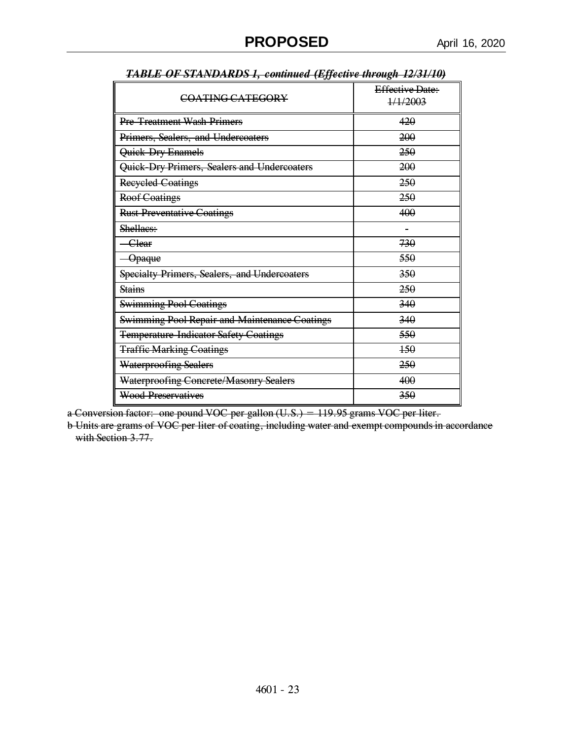| COATING CATEGORY                                    | Effective Date:<br>1/1/2003 |
|-----------------------------------------------------|-----------------------------|
| <b>Pre Treatment Wash Primers</b>                   | 420                         |
| Primers, Sealers, and Undercoaters                  | 200                         |
| Quick Dry Enamels                                   | 250                         |
| Quick Dry Primers, Sealers and Undercoaters         | 200                         |
| <b>Recycled Coatings</b>                            | 250                         |
| <b>Roof Coatings</b>                                | 250                         |
| <b>Rust Preventative Coatings</b>                   | 400                         |
| Shellaes:                                           | $\blacksquare$              |
| -Clear                                              | 730                         |
| <del>Opaque</del>                                   | 550                         |
| <b>Specialty Primers, Sealers, and Undercoaters</b> | 350                         |
| <b>Stains</b>                                       | 250                         |
| <b>Swimming Pool Coatings</b>                       | 340                         |
| Swimming Pool Repair and Maintenance Coatings       | 340                         |
| <b>Temperature Indicator Safety Coatings</b>        | 550                         |
| <b>Traffic Marking Coatings</b>                     | 150                         |
| <b>Waterproofing Sealers</b>                        | 250                         |
| Waterproofing Concrete/Masonry Sealers              | 400                         |
| <b>Wood Preservatives</b>                           | 350                         |

| TARI F OF STANDARDS 1, continued (Fffective through 12/31/10) |  |  |
|---------------------------------------------------------------|--|--|
| <b>TADLL VI SIANDARDS I, COMMUC LAJCENT MUREN ILIJI IVJ</b>   |  |  |

a Conversion factor: one pound VOC per gallon (U.S.) = 119.95 grams VOC per liter.

b Units are grams of VOC per liter of coating, including water and exempt compounds in accordance with Section 3.77.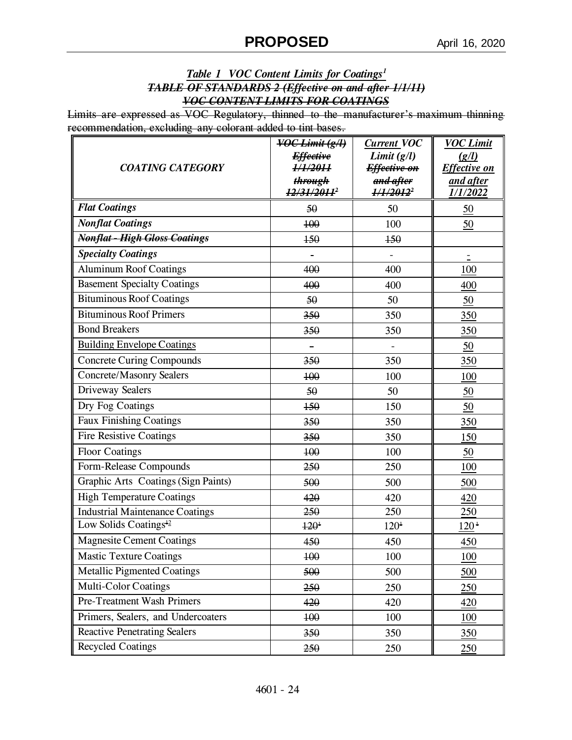## *Table 1 VOC Content Limits for Coatings<sup>1</sup> TABLE OF STANDARDS 2 (Effective on and after 1/1/11) VOC CONTENT LIMITS FOR COATINGS*

Limits are expressed as VOC Regulatory, thinned to the manufacturer's maximum thinning recommendation, excluding any colorant added to tint bases.

| <b>COATING CATEGORY</b>                | $\overline{VOC$ Limit $(g/l)$<br><b>Effective</b><br>1/1/2011<br>through<br><i>12/31/2011'</i> | <b>Current VOC</b><br>Limit(g/l)<br>Effective on<br>and after<br>1/1/2012 <sup>2</sup> | <b>VOC Limit</b><br>(g/l)<br><b>Effective on</b><br>and after<br>1/1/2022 |
|----------------------------------------|------------------------------------------------------------------------------------------------|----------------------------------------------------------------------------------------|---------------------------------------------------------------------------|
| <b>Flat Coatings</b>                   | 50                                                                                             | 50                                                                                     | $\underline{50}$                                                          |
| <b>Nonflat Coatings</b>                | 100                                                                                            | 100                                                                                    | 50                                                                        |
| <b>Nonflat - High Gloss Coatings</b>   | 150                                                                                            | $+50$                                                                                  |                                                                           |
| <b>Specialty Coatings</b>              |                                                                                                |                                                                                        |                                                                           |
| <b>Aluminum Roof Coatings</b>          | 400                                                                                            | 400                                                                                    | 100                                                                       |
| <b>Basement Specialty Coatings</b>     | 400                                                                                            | 400                                                                                    | 400                                                                       |
| <b>Bituminous Roof Coatings</b>        | 50                                                                                             | 50                                                                                     | 50                                                                        |
| <b>Bituminous Roof Primers</b>         | 350                                                                                            | 350                                                                                    | 350                                                                       |
| <b>Bond Breakers</b>                   | 350                                                                                            | 350                                                                                    | 350                                                                       |
| <b>Building Envelope Coatings</b>      | $\blacksquare$                                                                                 | $\blacksquare$                                                                         | 50                                                                        |
| <b>Concrete Curing Compounds</b>       | 350                                                                                            | 350                                                                                    | 350                                                                       |
| <b>Concrete/Masonry Sealers</b>        | 100                                                                                            | 100                                                                                    | 100                                                                       |
| Driveway Sealers                       | 50                                                                                             | 50                                                                                     | $\underline{50}$                                                          |
| Dry Fog Coatings                       | $+50$                                                                                          | 150                                                                                    | 50                                                                        |
| Faux Finishing Coatings                | 350                                                                                            | 350                                                                                    | 350                                                                       |
| <b>Fire Resistive Coatings</b>         | 350                                                                                            | 350                                                                                    | 150                                                                       |
| <b>Floor Coatings</b>                  | 400                                                                                            | 100                                                                                    | 50                                                                        |
| Form-Release Compounds                 | 250                                                                                            | 250                                                                                    | 100                                                                       |
| Graphic Arts Coatings (Sign Paints)    | 500                                                                                            | 500                                                                                    | 500                                                                       |
| <b>High Temperature Coatings</b>       | 420                                                                                            | 420                                                                                    | 420                                                                       |
| <b>Industrial Maintenance Coatings</b> | 250                                                                                            | 250                                                                                    | 250                                                                       |
| Low Solids Coatings <sup>12</sup>      | $120^1$                                                                                        | 120 <sup>1</sup>                                                                       | 120 <sup>1</sup>                                                          |
| <b>Magnesite Cement Coatings</b>       | 450                                                                                            | 450                                                                                    | 450                                                                       |
| <b>Mastic Texture Coatings</b>         | 100                                                                                            | 100                                                                                    | 100                                                                       |
| <b>Metallic Pigmented Coatings</b>     | 500                                                                                            | 500                                                                                    | 500                                                                       |
| <b>Multi-Color Coatings</b>            | 250                                                                                            | 250                                                                                    | 250                                                                       |
| Pre-Treatment Wash Primers             | 420                                                                                            | 420                                                                                    | 420                                                                       |
| Primers, Sealers, and Undercoaters     | 100                                                                                            | 100                                                                                    | 100                                                                       |
| <b>Reactive Penetrating Sealers</b>    | 350                                                                                            | 350                                                                                    | 350                                                                       |
| <b>Recycled Coatings</b>               | 250                                                                                            | 250                                                                                    | 250                                                                       |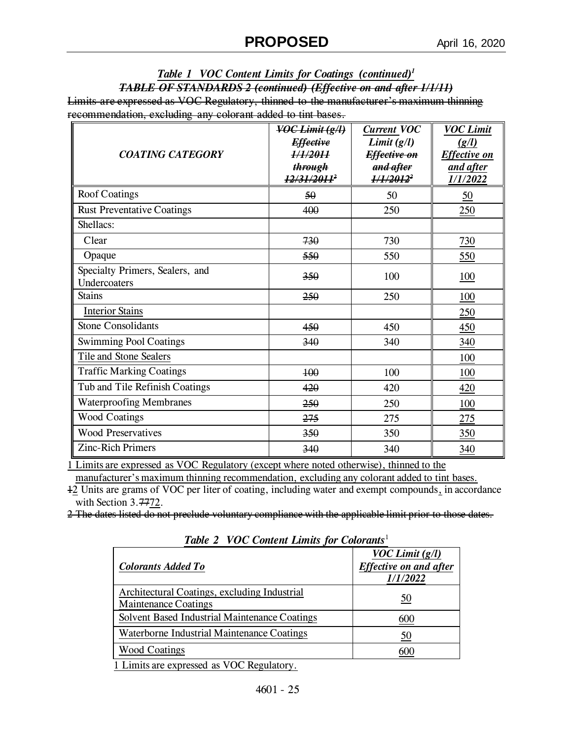### *Table 1 VOC Content Limits for Coatings (continued)<sup>1</sup> TABLE OF STANDARDS 2 (continued) (Effective on and after 1/1/11)* Limits are expressed as VOC Regulatory, thinned to the manufacturer's maximum thinning recommendation, excluding any colorant added to tint bases.

| <b>COATING CATEGORY</b>                         | VOC Limit (g/l)<br><b>Effective</b><br>1/1/2011<br>through<br><i>12/31/2011'</i> | <b>Current VOC</b><br>Limit(g/l)<br>Effective on<br>and after<br>$1/1/2012^2$ | <b>VOC Limit</b><br>(g/l)<br><b>Effective on</b><br>and after<br>1/1/2022 |
|-------------------------------------------------|----------------------------------------------------------------------------------|-------------------------------------------------------------------------------|---------------------------------------------------------------------------|
| <b>Roof Coatings</b>                            | 50                                                                               | 50                                                                            | $\underline{50}$                                                          |
| <b>Rust Preventative Coatings</b>               | 400                                                                              | 250                                                                           | 250                                                                       |
| Shellacs:                                       |                                                                                  |                                                                               |                                                                           |
| Clear                                           | 730                                                                              | 730                                                                           | 730                                                                       |
| Opaque                                          | 550                                                                              | 550                                                                           | 550                                                                       |
| Specialty Primers, Sealers, and<br>Undercoaters | 350                                                                              | 100                                                                           | <b>100</b>                                                                |
| <b>Stains</b>                                   | 250                                                                              | 250                                                                           | <u>100</u>                                                                |
| <b>Interior Stains</b>                          |                                                                                  |                                                                               | 250                                                                       |
| <b>Stone Consolidants</b>                       | 450                                                                              | 450                                                                           | 450                                                                       |
| <b>Swimming Pool Coatings</b>                   | 340                                                                              | 340                                                                           | 340                                                                       |
| Tile and Stone Sealers                          |                                                                                  |                                                                               | 100                                                                       |
| <b>Traffic Marking Coatings</b>                 | 400                                                                              | 100                                                                           | <u>100</u>                                                                |
| Tub and Tile Refinish Coatings                  | 420                                                                              | 420                                                                           | 420                                                                       |
| <b>Waterproofing Membranes</b>                  | 250                                                                              | 250                                                                           | 100                                                                       |
| <b>Wood Coatings</b>                            | 275                                                                              | 275                                                                           | 275                                                                       |
| <b>Wood Preservatives</b>                       | 350                                                                              | 350                                                                           | 350                                                                       |
| Zinc-Rich Primers                               | 340                                                                              | 340                                                                           | 340                                                                       |

1 Limits are expressed as VOC Regulatory (except where noted otherwise), thinned to the

manufacturer's maximum thinning recommendation, excluding any colorant added to tint bases. 12 Units are grams of VOC per liter of coating, including water and exempt compounds, in accordance

with Section 3.7772.

2 The dates listed do not preclude voluntary compliance with the applicable limit prior to those dates.

| $1000 = 100$ Content Ethinis for Color which                                                         |                                                                       |  |  |
|------------------------------------------------------------------------------------------------------|-----------------------------------------------------------------------|--|--|
| <b>Colorants Added To</b>                                                                            | <b>VOC Limit</b> $(g/l)$<br><b>Effective on and after</b><br>1/1/2022 |  |  |
| Architectural Coatings, excluding Industrial<br><b>Maintenance Coatings</b>                          | 50                                                                    |  |  |
| Solvent Based Industrial Maintenance Coatings                                                        | 600                                                                   |  |  |
| Waterborne Industrial Maintenance Coatings                                                           | 50                                                                    |  |  |
| <b>Wood Coatings</b>                                                                                 |                                                                       |  |  |
| $\mathbf{A}$ , and $\mathbf{A}$ , and $\mathbf{A}$<br>$\mathbf{r} \cdot \mathbf{r} \cdot \mathbf{r}$ |                                                                       |  |  |

*Table 2 VOC Content Limits for Colorants*<sup>1</sup>

1 Limits are expressed as VOC Regulatory.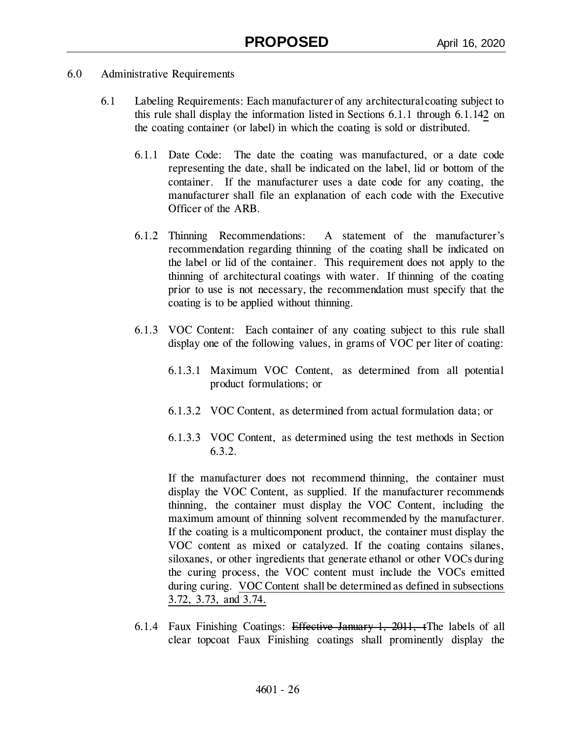- 6.0 Administrative Requirements
	- 6.1 Labeling Requirements: Each manufacturer of any architectural coating subject to this rule shall display the information listed in Sections 6.1.1 through 6.1.142 on the coating container (or label) in which the coating is sold or distributed.
		- 6.1.1 Date Code: The date the coating was manufactured, or a date code representing the date, shall be indicated on the label, lid or bottom of the container. If the manufacturer uses a date code for any coating, the manufacturer shall file an explanation of each code with the Executive Officer of the ARB.
		- 6.1.2 Thinning Recommendations: A statement of the manufacturer's recommendation regarding thinning of the coating shall be indicated on the label or lid of the container. This requirement does not apply to the thinning of architectural coatings with water. If thinning of the coating prior to use is not necessary, the recommendation must specify that the coating is to be applied without thinning.
		- 6.1.3 VOC Content: Each container of any coating subject to this rule shall display one of the following values, in grams of VOC per liter of coating:
			- 6.1.3.1 Maximum VOC Content, as determined from all potential product formulations; or
			- 6.1.3.2 VOC Content, as determined from actual formulation data; or
			- 6.1.3.3 VOC Content, as determined using the test methods in Section 6.3.2.

If the manufacturer does not recommend thinning, the container must display the VOC Content, as supplied. If the manufacturer recommends thinning, the container must display the VOC Content, including the maximum amount of thinning solvent recommended by the manufacturer. If the coating is a multicomponent product, the container must display the VOC content as mixed or catalyzed. If the coating contains silanes, siloxanes, or other ingredients that generate ethanol or other VOCs during the curing process, the VOC content must include the VOCs emitted during curing. VOC Content shall be determined as defined in subsections 3.72, 3.73, and 3.74.

6.1.4 Faux Finishing Coatings: Effective January 1, 2011, tThe labels of all clear topcoat Faux Finishing coatings shall prominently display the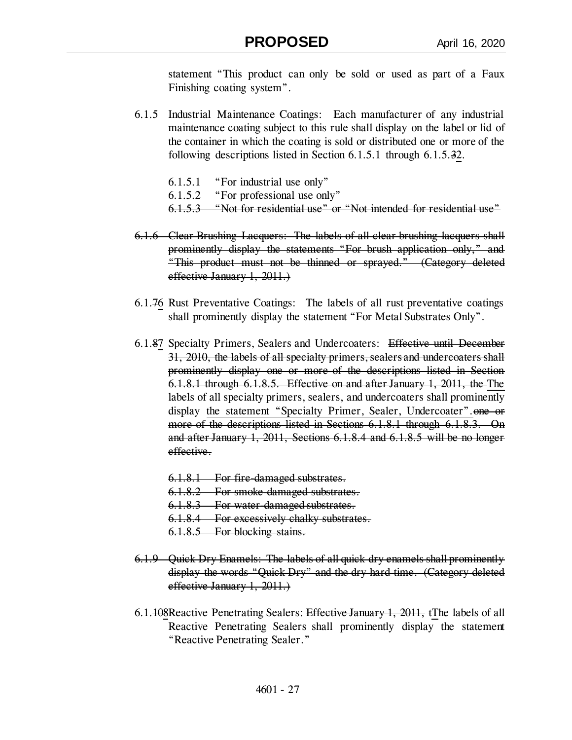statement "This product can only be sold or used as part of a Faux Finishing coating system".

- 6.1.5 Industrial Maintenance Coatings: Each manufacturer of any industrial maintenance coating subject to this rule shall display on the label or lid of the container in which the coating is sold or distributed one or more of the following descriptions listed in Section 6.1.5.1 through 6.1.5.32.
	- 6.1.5.1 "For industrial use only"
	- 6.1.5.2 "For professional use only"
	- 6.1.5.3 "Not for residential use" or "Not intended for residential use"
- 6.1.6 Clear Brushing Lacquers: The labels of all clear brushing lacquers shall prominently display the statements "For brush application only," and "This product must not be thinned or sprayed." (Category deleted effective January 1, 2011.)
- 6.1.76 Rust Preventative Coatings: The labels of all rust preventative coatings shall prominently display the statement "For Metal Substrates Only".
- 6.1.87 Specialty Primers, Sealers and Undercoaters: Effective until December 31, 2010, the labels of all specialty primers, sealers and undercoaters shall prominently display one or more of the descriptions listed in Section 6.1.8.1 through 6.1.8.5. Effective on and after January 1, 2011, the The labels of all specialty primers, sealers, and undercoaters shall prominently display the statement "Specialty Primer, Sealer, Undercoater". one or more of the descriptions listed in Sections 6.1.8.1 through 6.1.8.3. On and after January 1, 2011, Sections 6.1.8.4 and 6.1.8.5 will be no longer effective.
	- 6.1.8.1 For fire-damaged substrates.
	- 6.1.8.2 For smoke-damaged substrates.
	- 6.1.8.3 For water-damaged substrates.
	- 6.1.8.4 For excessively chalky substrates.
	- 6.1.8.5 For blocking stains.
- 6.1.9 Quick Dry Enamels: The labels of all quick dry enamels shall prominently display the words "Quick Dry" and the dry hard time. (Category deleted effective January 1, 2011.)
- 6.1.108Reactive Penetrating Sealers: Effective January 1, 2011, tThe labels of all Reactive Penetrating Sealers shall prominently display the statement "Reactive Penetrating Sealer."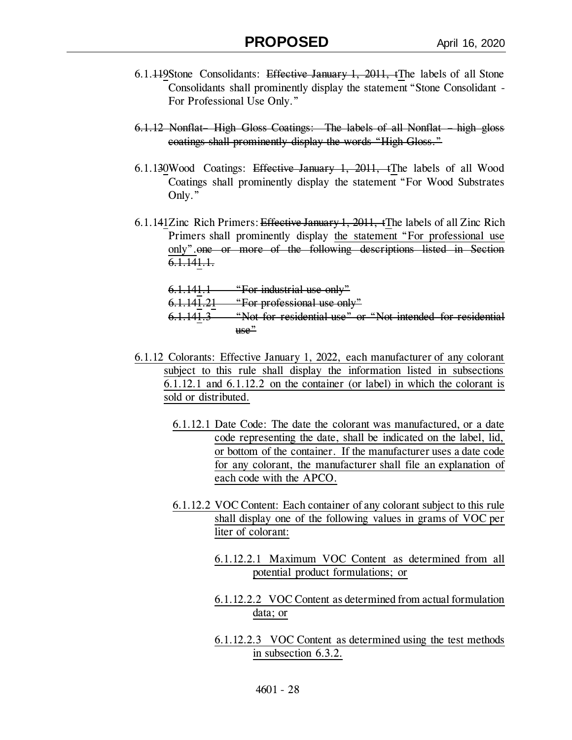- 6.1.449Stone Consolidants: Effective January 1, 2011, the labels of all Stone Consolidants shall prominently display the statement "Stone Consolidant - For Professional Use Only."
- 6.1.12 Nonflat– High Gloss Coatings: The labels of all Nonflat high gloss coatings shall prominently display the words "High Gloss."
- 6.1.130Wood Coatings: Effective January 1, 2011, tThe labels of all Wood Coatings shall prominently display the statement "For Wood Substrates Only."
- 6.1.141Zinc Rich Primers: Effective January 1, 2011, tThe labels of all Zinc Rich Primers shall prominently display the statement "For professional use only".one or more of the following descriptions listed in Section 6.1.141.1.

6.1.141.1 "For industrial use only" "For professional use only" "Not for residential use" or "Not intended for residential use"

- 6.1.12 Colorants: Effective January 1, 2022, each manufacturer of any colorant subject to this rule shall display the information listed in subsections 6.1.12.1 and 6.1.12.2 on the container (or label) in which the colorant is sold or distributed.
	- 6.1.12.1 Date Code: The date the colorant was manufactured, or a date code representing the date, shall be indicated on the label, lid, or bottom of the container. If the manufacturer uses a date code for any colorant, the manufacturer shall file an explanation of each code with the APCO.
	- 6.1.12.2 VOC Content: Each container of any colorant subject to this rule shall display one of the following values in grams of VOC per liter of colorant:
		- 6.1.12.2.1 Maximum VOC Content as determined from all potential product formulations; or
		- 6.1.12.2.2 VOC Content as determined from actual formulation data; or
		- 6.1.12.2.3 VOC Content as determined using the test methods in subsection 6.3.2.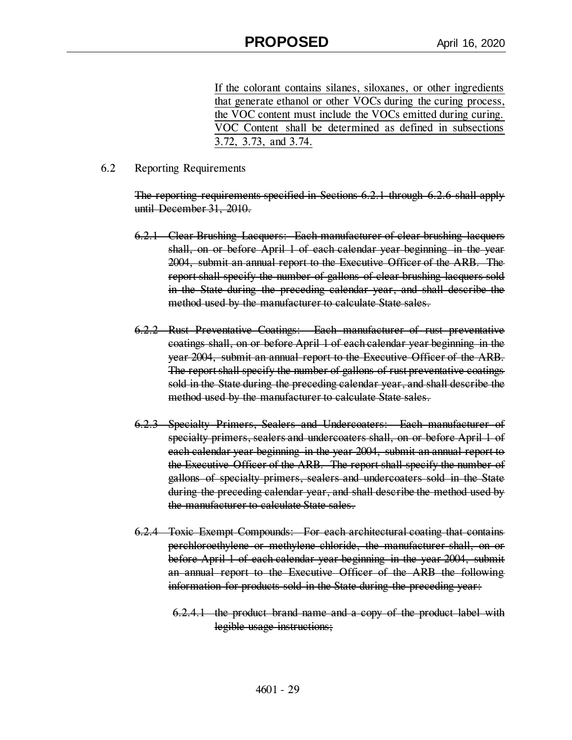If the colorant contains silanes, siloxanes, or other ingredients that generate ethanol or other VOCs during the curing process, the VOC content must include the VOCs emitted during curing. VOC Content shall be determined as defined in subsections 3.72, 3.73, and 3.74.

#### 6.2 Reporting Requirements

The reporting requirements specified in Sections 6.2.1 through 6.2.6 shall apply until December 31, 2010.

- 6.2.1 Clear Brushing Lacquers: Each manufacturer of clear brushing lacquers shall, on or before April 1 of each calendar year beginning in the year 2004, submit an annual report to the Executive Officer of the ARB. The report shall specify the number of gallons of clear brushing lacquers sold in the State during the preceding calendar year, and shall describe the method used by the manufacturer to calculate State sales.
- 6.2.2 Rust Preventative Coatings: Each manufacturer of rust preventative coatings shall, on or before April 1 of each calendar year beginning in the year 2004, submit an annual report to the Executive Officer of the ARB. The report shall specify the number of gallons of rust preventative coatings sold in the State during the preceding calendar year, and shall describe the method used by the manufacturer to calculate State sales.
- 6.2.3 Specialty Primers, Sealers and Undercoaters: Each manufacturer of specialty primers, sealers and undercoaters shall, on or before April 1 of each calendar year beginning in the year 2004, submit an annual report to the Executive Officer of the ARB. The report shall specify the number of gallons of specialty primers, sealers and undercoaters sold in the State during the preceding calendar year, and shall describe the method used by the manufacturer to calculate State sales.
- 6.2.4 Toxic Exempt Compounds: For each architectural coating that contains perchloroethylene or methylene chloride, the manufacturer shall, on or before April 1 of each calendar year beginning in the year 2004, submit an annual report to the Executive Officer of the ARB the following information for products sold in the State during the preceding year:

6.2.4.1 the product brand name and a copy of the product label with legible usage instructions;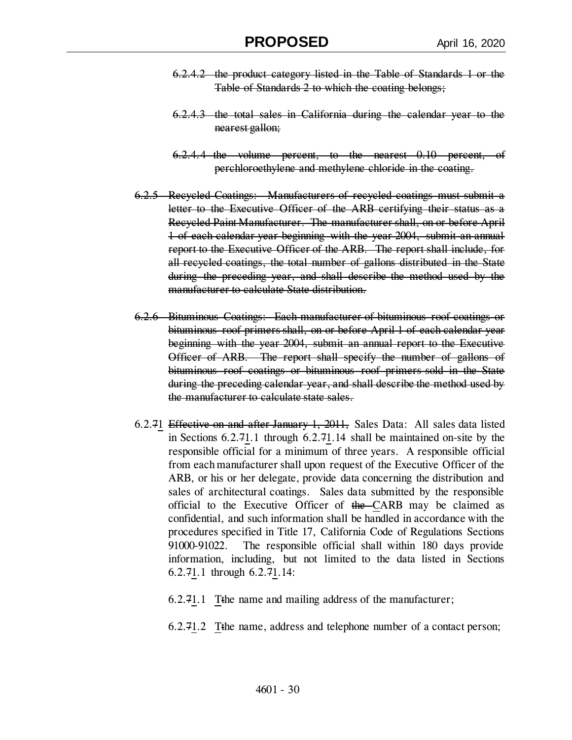- 6.2.4.2 the product category listed in the Table of Standards 1 or the Table of Standards 2 to which the coating belongs;
- 6.2.4.3 the total sales in California during the calendar year to the nearest gallon;
- 6.2.4.4 the volume percent, to the nearest 0.10 percent, of perchloroethylene and methylene chloride in the coating.
- 6.2.5 Recycled Coatings: Manufacturers of recycled coatings must submit a letter to the Executive Officer of the ARB certifying their status as a Recycled Paint Manufacturer. The manufacturer shall, on or before April 1 of each calendar year beginning with the year 2004, submit an annual report to the Executive Officer of the ARB. The report shall include, for all recycled coatings, the total number of gallons distributed in the State during the preceding year, and shall describe the method used by the manufacturer to calculate State distribution.
- 6.2.6 Bituminous Coatings: Each manufacturer of bituminous roof coatings or bituminous roof primers shall, on or before April 1 of each calendar year beginning with the year 2004, submit an annual report to the Executive Officer of ARB. The report shall specify the number of gallons of bituminous roof coatings or bituminous roof primers sold in the State during the preceding calendar year, and shall describe the method used by the manufacturer to calculate state sales.
- 6.2.71 Effective on and after January 1, 2011, Sales Data: All sales data listed in Sections 6.2.71.1 through 6.2.71.14 shall be maintained on-site by the responsible official for a minimum of three years. A responsible official from each manufacturer shall upon request of the Executive Officer of the ARB, or his or her delegate, provide data concerning the distribution and sales of architectural coatings. Sales data submitted by the responsible official to the Executive Officer of the CARB may be claimed as confidential, and such information shall be handled in accordance with the procedures specified in Title 17, California Code of Regulations Sections 91000-91022. The responsible official shall within 180 days provide information, including, but not limited to the data listed in Sections 6.2.71.1 through 6.2.71.14:
	- 6.2.71.1 Tthe name and mailing address of the manufacturer;
	- 6.2.71.2 Tthe name, address and telephone number of a contact person;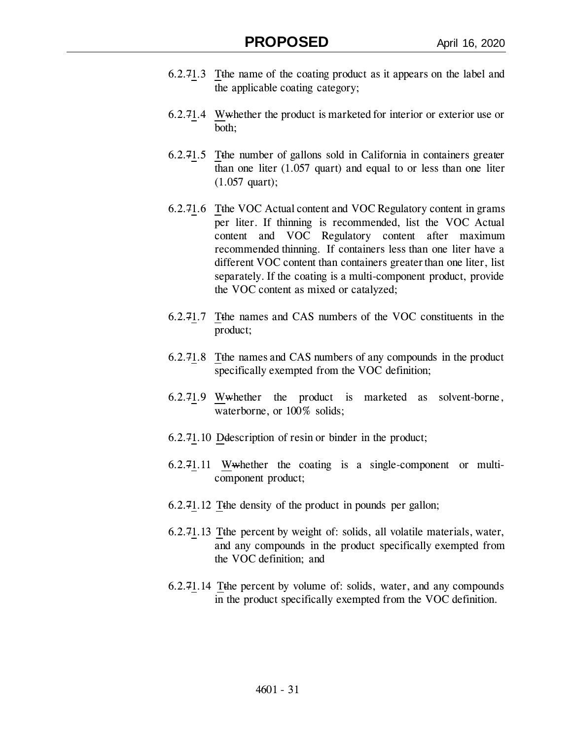- 6.2.71.3 Tthe name of the coating product as it appears on the label and the applicable coating category;
- 6.2.71.4 Wwhether the product is marketed for interior or exterior use or both;
- 6.2.71.5 Tthe number of gallons sold in California in containers greater than one liter (1.057 quart) and equal to or less than one liter (1.057 quart);
- 6.2.71.6 Tthe VOC Actual content and VOC Regulatory content in grams per liter. If thinning is recommended, list the VOC Actual content and VOC Regulatory content after maximum recommended thinning. If containers less than one liter have a different VOC content than containers greater than one liter, list separately. If the coating is a multi-component product, provide the VOC content as mixed or catalyzed;
- 6.2.71.7 Tthe names and CAS numbers of the VOC constituents in the product;
- 6.2.71.8 Tthe names and CAS numbers of any compounds in the product specifically exempted from the VOC definition;
- 6.2.71.9 Wwhether the product is marketed as solvent-borne, waterborne, or 100% solids;
- 6.2.71.10 Ddescription of resin or binder in the product;
- 6.2.71.11 Wwhether the coating is a single-component or multicomponent product;
- 6.2.71.12 Tthe density of the product in pounds per gallon;
- 6.2.71.13 Tthe percent by weight of: solids, all volatile materials, water, and any compounds in the product specifically exempted from the VOC definition; and
- 6.2.71.14 Tthe percent by volume of: solids, water, and any compounds in the product specifically exempted from the VOC definition.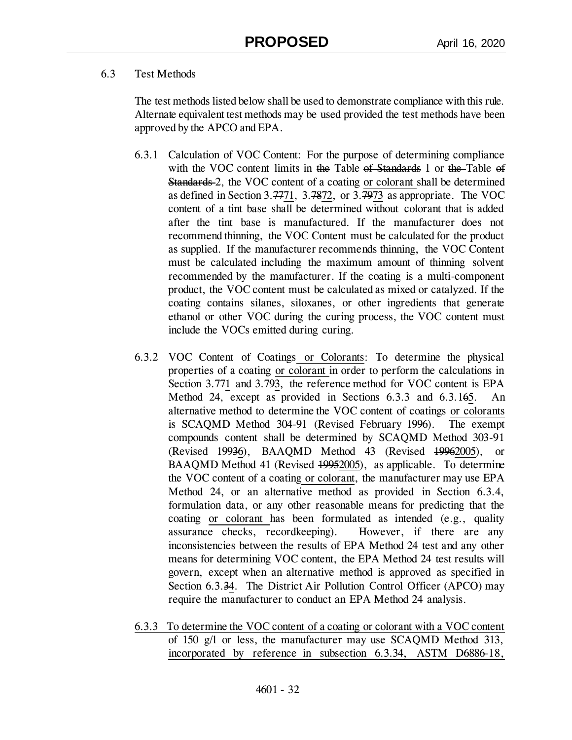## 6.3 Test Methods

The test methods listed below shall be used to demonstrate compliance with this rule. Alternate equivalent test methods may be used provided the test methods have been approved by the APCO and EPA.

- 6.3.1 Calculation of VOC Content: For the purpose of determining compliance with the VOC content limits in the Table of Standards 1 or the Table of Standards 2, the VOC content of a coating or colorant shall be determined as defined in Section 3.7771, 3.7872, or 3.7973 as appropriate. The VOC content of a tint base shall be determined without colorant that is added after the tint base is manufactured. If the manufacturer does not recommend thinning, the VOC Content must be calculated for the product as supplied. If the manufacturer recommends thinning, the VOC Content must be calculated including the maximum amount of thinning solvent recommended by the manufacturer. If the coating is a multi-component product, the VOC content must be calculated as mixed or catalyzed. If the coating contains silanes, siloxanes, or other ingredients that generate ethanol or other VOC during the curing process, the VOC content must include the VOCs emitted during curing.
- 6.3.2 VOC Content of Coatings or Colorants: To determine the physical properties of a coating or colorant in order to perform the calculations in Section 3.771 and 3.793, the reference method for VOC content is EPA Method 24, except as provided in Sections 6.3.3 and 6.3.165. An alternative method to determine the VOC content of coatings or colorants is SCAQMD Method 304-91 (Revised February 1996). The exempt compounds content shall be determined by SCAQMD Method 303-91 (Revised 19936), BAAQMD Method 43 (Revised 19962005), or BAAQMD Method 41 (Revised 49952005), as applicable. To determine the VOC content of a coating or colorant, the manufacturer may use EPA Method 24, or an alternative method as provided in Section 6.3.4, formulation data, or any other reasonable means for predicting that the coating or colorant has been formulated as intended (e.g., quality assurance checks, recordkeeping). However, if there are any inconsistencies between the results of EPA Method 24 test and any other means for determining VOC content, the EPA Method 24 test results will govern, except when an alternative method is approved as specified in Section 6.3.34. The District Air Pollution Control Officer (APCO) may require the manufacturer to conduct an EPA Method 24 analysis.
- 6.3.3 To determine the VOC content of a coating or colorant with a VOC content of 150 g/l or less, the manufacturer may use SCAQMD Method 313, incorporated by reference in subsection 6.3.34, ASTM D6886-18,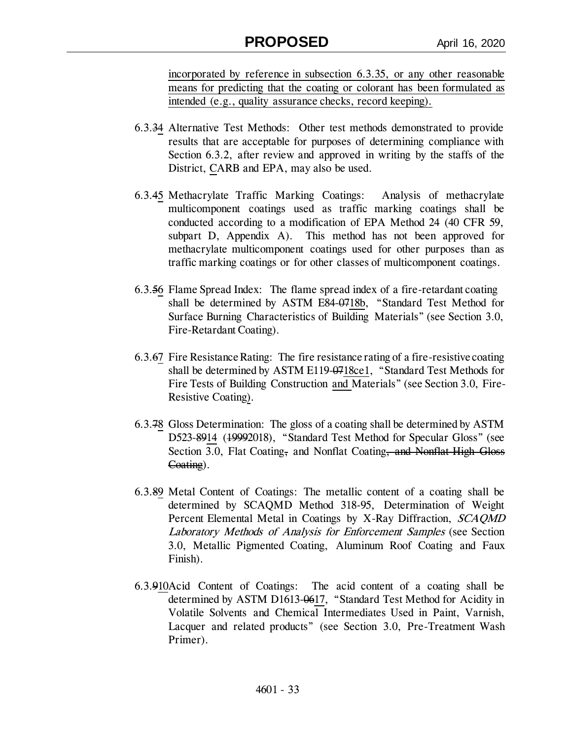incorporated by reference in subsection 6.3.35, or any other reasonable means for predicting that the coating or colorant has been formulated as intended (e.g., quality assurance checks, record keeping).

- 6.3.34 Alternative Test Methods: Other test methods demonstrated to provide results that are acceptable for purposes of determining compliance with Section 6.3.2, after review and approved in writing by the staffs of the District, CARB and EPA, may also be used.
- 6.3.45 Methacrylate Traffic Marking Coatings: Analysis of methacrylate multicomponent coatings used as traffic marking coatings shall be conducted according to a modification of EPA Method 24 (40 CFR 59, subpart D, Appendix A). This method has not been approved for methacrylate multicomponent coatings used for other purposes than as traffic marking coatings or for other classes of multicomponent coatings.
- 6.3.56 Flame Spread Index: The flame spread index of a fire-retardant coating shall be determined by ASTM E84-0718b, "Standard Test Method for Surface Burning Characteristics of Building Materials" (see Section 3.0, Fire-Retardant Coating).
- 6.3.67 Fire Resistance Rating: The fire resistance rating of a fire-resistive coating shall be determined by ASTM E119-0718ce1, "Standard Test Methods for Fire Tests of Building Construction and Materials" (see Section 3.0, Fire-Resistive Coating).
- 6.3.78 Gloss Determination: The gloss of a coating shall be determined by ASTM D523-8914 (19992018), "Standard Test Method for Specular Gloss" (see Section 3.0, Flat Coating, and Nonflat Coating, and Nonflat High Gloss Coating).
- 6.3.89 Metal Content of Coatings: The metallic content of a coating shall be determined by SCAQMD Method 318-95, Determination of Weight Percent Elemental Metal in Coatings by X-Ray Diffraction, SCAQMD Laboratory Methods of Analysis for Enforcement Samples (see Section 3.0, Metallic Pigmented Coating, Aluminum Roof Coating and Faux Finish).
- 6.3.910Acid Content of Coatings: The acid content of a coating shall be determined by ASTM D1613-0617, "Standard Test Method for Acidity in Volatile Solvents and Chemical Intermediates Used in Paint, Varnish, Lacquer and related products" (see Section 3.0, Pre-Treatment Wash Primer).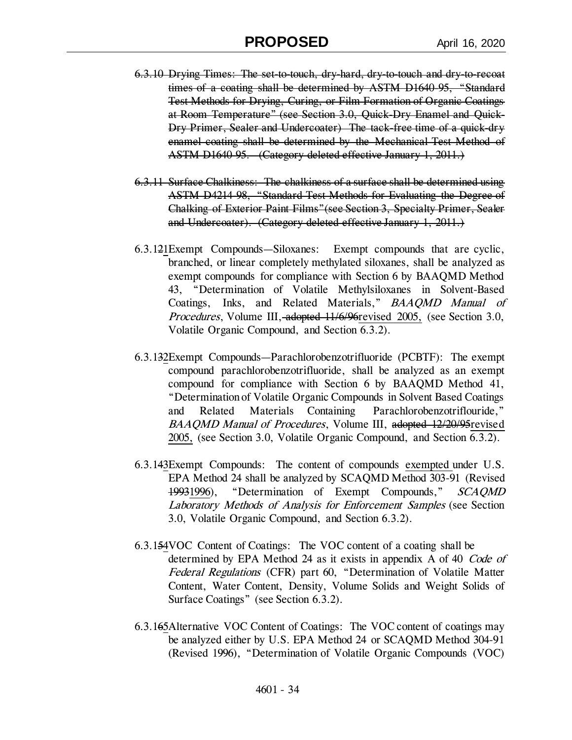- 6.3.10 Drying Times: The set-to-touch, dry-hard, dry-to-touch and dry-to-recoat times of a coating shall be determined by ASTM D1640-95, "Standard Test Methods for Drying, Curing, or Film Formation of Organic Coatings at Room Temperature" (see Section 3.0, Quick-Dry Enamel and Quick-Dry Primer, Sealer and Undercoater) The tack-free time of a quick-dry enamel coating shall be determined by the Mechanical Test Method of ASTM D1640-95. (Category deleted effective January 1, 2011.)
- 6.3.11 Surface Chalkiness: The chalkiness of a surface shall be determined using ASTM D4214-98, "Standard Test Methods for Evaluating the Degree of Chalking of Exterior Paint Films"(see Section 3, Specialty Primer, Sealer and Undercoater). (Category deleted effective January 1, 2011.)
- 6.3.121Exempt Compounds—Siloxanes: Exempt compounds that are cyclic, branched, or linear completely methylated siloxanes, shall be analyzed as exempt compounds for compliance with Section 6 by BAAQMD Method 43, "Determination of Volatile Methylsiloxanes in Solvent-Based Coatings, Inks, and Related Materials," BAAQMD Manual of Procedures, Volume III, adopted 11/6/96 revised 2005, (see Section 3.0, Volatile Organic Compound, and Section 6.3.2).
- 6.3.132Exempt Compounds—Parachlorobenzotrifluoride (PCBTF): The exempt compound parachlorobenzotrifluoride, shall be analyzed as an exempt compound for compliance with Section 6 by BAAQMD Method 41, "Determination of Volatile Organic Compounds in Solvent Based Coatings and Related Materials Containing Parachlorobenzotriflouride," BAAQMD Manual of Procedures, Volume III, adopted 12/20/95 revised 2005, (see Section 3.0, Volatile Organic Compound, and Section 6.3.2).
- 6.3.143Exempt Compounds: The content of compounds exempted under U.S. EPA Method 24 shall be analyzed by SCAQMD Method 303-91 (Revised 19931996), "Determination of Exempt Compounds," SCAQMD Laboratory Methods of Analysis for Enforcement Samples (see Section 3.0, Volatile Organic Compound, and Section 6.3.2).
- 6.3.154VOC Content of Coatings: The VOC content of a coating shall be determined by EPA Method 24 as it exists in appendix A of 40 Code of Federal Regulations (CFR) part 60, "Determination of Volatile Matter Content, Water Content, Density, Volume Solids and Weight Solids of Surface Coatings" (see Section 6.3.2).
- 6.3.165Alternative VOC Content of Coatings: The VOC content of coatings may be analyzed either by U.S. EPA Method 24 or SCAQMD Method 304-91 (Revised 1996), "Determination of Volatile Organic Compounds (VOC)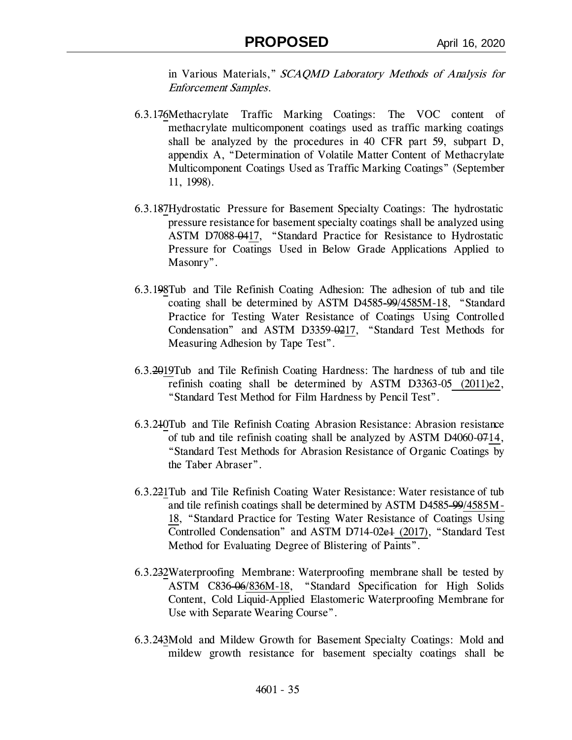in Various Materials," SCAQMD Laboratory Methods of Analysis for Enforcement Samples.

- 6.3.176Methacrylate Traffic Marking Coatings: The VOC content of methacrylate multicomponent coatings used as traffic marking coatings shall be analyzed by the procedures in 40 CFR part 59, subpart D, appendix A, "Determination of Volatile Matter Content of Methacrylate Multicomponent Coatings Used as Traffic Marking Coatings" (September 11, 1998).
- 6.3.187Hydrostatic Pressure for Basement Specialty Coatings: The hydrostatic pressure resistance for basement specialty coatings shall be analyzed using ASTM D7088-0417, "Standard Practice for Resistance to Hydrostatic Pressure for Coatings Used in Below Grade Applications Applied to Masonry".
- 6.3.198Tub and Tile Refinish Coating Adhesion: The adhesion of tub and tile coating shall be determined by ASTM D4585-99/4585M-18, "Standard Practice for Testing Water Resistance of Coatings Using Controlled Condensation" and ASTM D3359-0217, "Standard Test Methods for Measuring Adhesion by Tape Test".
- 6.3.2019Tub and Tile Refinish Coating Hardness: The hardness of tub and tile refinish coating shall be determined by ASTM D3363-05 (2011)e2, "Standard Test Method for Film Hardness by Pencil Test".
- 6.3.210Tub and Tile Refinish Coating Abrasion Resistance: Abrasion resistance of tub and tile refinish coating shall be analyzed by ASTM D4060-0714, "Standard Test Methods for Abrasion Resistance of Organic Coatings by the Taber Abraser".
- 6.3.221Tub and Tile Refinish Coating Water Resistance: Water resistance of tub and tile refinish coatings shall be determined by ASTM D4585-99/4585M-18, "Standard Practice for Testing Water Resistance of Coatings Using Controlled Condensation" and ASTM D714-02e1 (2017), "Standard Test Method for Evaluating Degree of Blistering of Paints".
- 6.3.232Waterproofing Membrane: Waterproofing membrane shall be tested by ASTM C836-06/836M-18, "Standard Specification for High Solids Content, Cold Liquid-Applied Elastomeric Waterproofing Membrane for Use with Separate Wearing Course".
- 6.3.243Mold and Mildew Growth for Basement Specialty Coatings: Mold and mildew growth resistance for basement specialty coatings shall be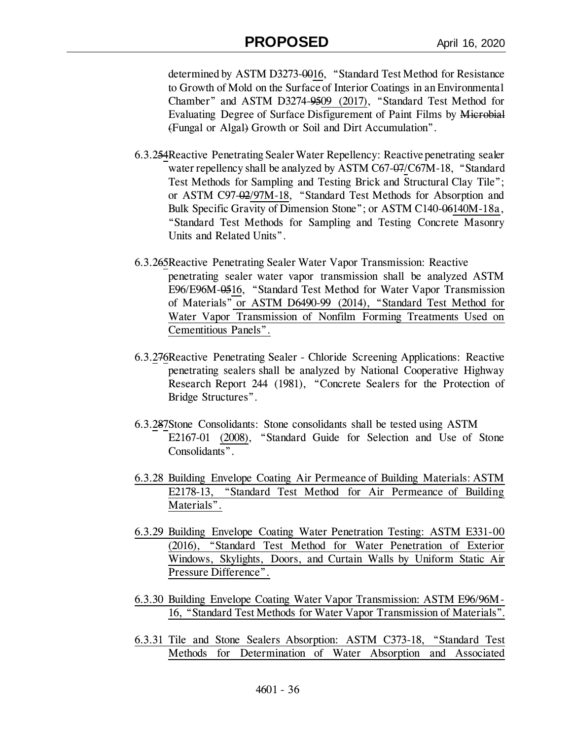# **PROPOSED** April 16, 2020

determined by ASTM D3273-0016, "Standard Test Method for Resistance to Growth of Mold on the Surface of Interior Coatings in an Environmental Chamber" and ASTM D3274-9509 (2017), "Standard Test Method for Evaluating Degree of Surface Disfigurement of Paint Films by Microbial (Fungal or Algal) Growth or Soil and Dirt Accumulation".

- 6.3.254Reactive Penetrating Sealer Water Repellency: Reactive penetrating sealer water repellency shall be analyzed by ASTM C67-07/C67M-18, "Standard Test Methods for Sampling and Testing Brick and Structural Clay Tile"; or ASTM C97-02/97M-18, "Standard Test Methods for Absorption and Bulk Specific Gravity of Dimension Stone"; or ASTM C140-06140M-18a, "Standard Test Methods for Sampling and Testing Concrete Masonry Units and Related Units".
- 6.3.265Reactive Penetrating Sealer Water Vapor Transmission: Reactive penetrating sealer water vapor transmission shall be analyzed ASTM E96/E96M-0516, "Standard Test Method for Water Vapor Transmission of Materials" or ASTM D6490-99 (2014), "Standard Test Method for Water Vapor Transmission of Nonfilm Forming Treatments Used on Cementitious Panels".
- 6.3.276Reactive Penetrating Sealer Chloride Screening Applications: Reactive penetrating sealers shall be analyzed by National Cooperative Highway Research Report 244 (1981), "Concrete Sealers for the Protection of Bridge Structures".
- 6.3.287Stone Consolidants: Stone consolidants shall be tested using ASTM E2167-01 (2008), "Standard Guide for Selection and Use of Stone Consolidants".
- 6.3.28 Building Envelope Coating Air Permeance of Building Materials: ASTM E2178-13, "Standard Test Method for Air Permeance of Building Materials".
- 6.3.29 Building Envelope Coating Water Penetration Testing: ASTM E331-00 (2016), "Standard Test Method for Water Penetration of Exterior Windows, Skylights, Doors, and Curtain Walls by Uniform Static Air Pressure Difference".
- 6.3.30 Building Envelope Coating Water Vapor Transmission: ASTM E96/96M-16, "Standard Test Methods for Water Vapor Transmission of Materials".
- 6.3.31 Tile and Stone Sealers Absorption: ASTM C373-18, "Standard Test Methods for Determination of Water Absorption and Associated